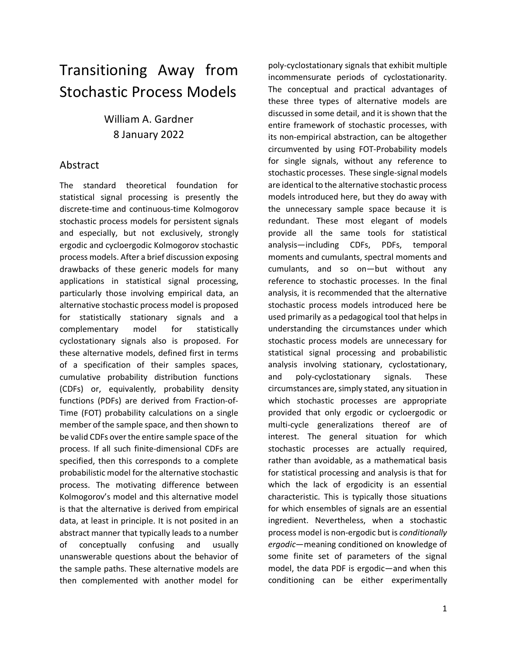# Transitioning Away from Stochastic Process Models

# William A. Gardner 8 January 2022

## Abstract

The standard theoretical foundation for statistical signal processing is presently the discrete-time and continuous-time Kolmogorov stochastic process models for persistent signals and especially, but not exclusively, strongly ergodic and cycloergodic Kolmogorov stochastic process models. After a brief discussion exposing drawbacks of these generic models for many applications in statistical signal processing, particularly those involving empirical data, an alternative stochastic process model is proposed for statistically stationary signals and a complementary model for statistically cyclostationary signals also is proposed. For these alternative models, defined first in terms of a specification of their samples spaces, cumulative probability distribution functions (CDFs) or, equivalently, probability density functions (PDFs) are derived from Fraction-of-Time (FOT) probability calculations on a single member of the sample space, and then shown to be valid CDFs over the entire sample space of the process. If all such finite-dimensional CDFs are specified, then this corresponds to a complete probabilistic model for the alternative stochastic process. The motivating difference between Kolmogorov's model and this alternative model is that the alternative is derived from empirical data, at least in principle. It is not posited in an abstract manner that typically leads to a number of conceptually confusing and usually unanswerable questions about the behavior of the sample paths. These alternative models are then complemented with another model for

poly-cyclostationary signals that exhibit multiple incommensurate periods of cyclostationarity. The conceptual and practical advantages of these three types of alternative models are discussed in some detail, and it is shown that the entire framework of stochastic processes, with its non-empirical abstraction, can be altogether circumvented by using FOT-Probability models for single signals, without any reference to stochastic processes. These single-signal models are identical to the alternative stochastic process models introduced here, but they do away with the unnecessary sample space because it is redundant. These most elegant of models provide all the same tools for statistical analysis—including CDFs, PDFs, temporal moments and cumulants, spectral moments and cumulants, and so on—but without any reference to stochastic processes. In the final analysis, it is recommended that the alternative stochastic process models introduced here be used primarily as a pedagogical tool that helps in understanding the circumstances under which stochastic process models are unnecessary for statistical signal processing and probabilistic analysis involving stationary, cyclostationary, and poly-cyclostationary signals. These circumstances are, simply stated, any situation in which stochastic processes are appropriate provided that only ergodic or cycloergodic or multi-cycle generalizations thereof are of interest. The general situation for which stochastic processes are actually required, rather than avoidable, as a mathematical basis for statistical processing and analysis is that for which the lack of ergodicity is an essential characteristic. This is typically those situations for which ensembles of signals are an essential ingredient. Nevertheless, when a stochastic process model is non-ergodic but is *conditionally ergodic*—meaning conditioned on knowledge of some finite set of parameters of the signal model, the data PDF is ergodic—and when this conditioning can be either experimentally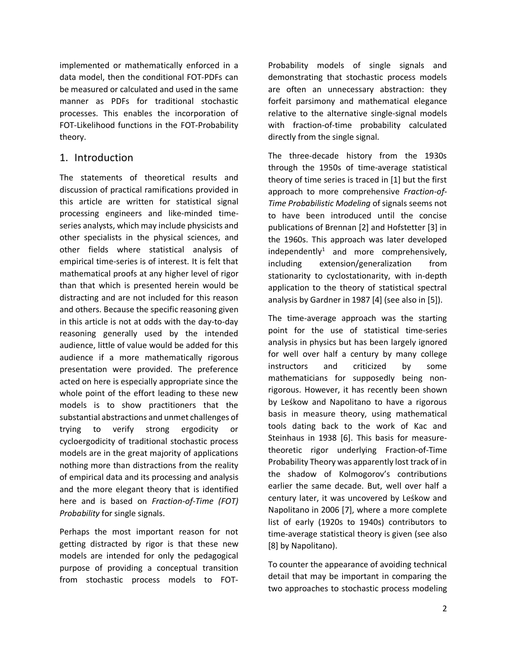implemented or mathematically enforced in a data model, then the conditional FOT-PDFs can be measured or calculated and used in the same manner as PDFs for traditional stochastic processes. This enables the incorporation of FOT-Likelihood functions in the FOT-Probability theory.

### 1. Introduction

The statements of theoretical results and discussion of practical ramifications provided in this article are written for statistical signal processing engineers and like-minded timeseries analysts, which may include physicists and other specialists in the physical sciences, and other fields where statistical analysis of empirical time-series is of interest. It is felt that mathematical proofs at any higher level of rigor than that which is presented herein would be distracting and are not included for this reason and others. Because the specific reasoning given in this article is not at odds with the day-to-day reasoning generally used by the intended audience, little of value would be added for this audience if a more mathematically rigorous presentation were provided. The preference acted on here is especially appropriate since the whole point of the effort leading to these new models is to show practitioners that the substantial abstractions and unmet challenges of trying to verify strong ergodicity or cycloergodicity of traditional stochastic process models are in the great majority of applications nothing more than distractions from the reality of empirical data and its processing and analysis and the more elegant theory that is identified here and is based on *Fraction-of-Time (FOT) Probability* for single signals.

Perhaps the most important reason for not getting distracted by rigor is that these new models are intended for only the pedagogical purpose of providing a conceptual transition from stochastic process models to FOT-

Probability models of single signals and demonstrating that stochastic process models are often an unnecessary abstraction: they forfeit parsimony and mathematical elegance relative to the alternative single-signal models with fraction-of-time probability calculated directly from the single signal.

The three-decade history from the 1930s through the 1950s of time-average statistical theory of time series is traced in [1] but the first approach to more comprehensive *Fraction-of-Time Probabilistic Modeling* of signals seems not to have been introduced until the concise publications of Brennan [2] and Hofstetter [3] in the 1960s. This approach was later developed independently<sup>1</sup> and more comprehensively, including extension/generalization from stationarity to cyclostationarity, with in-depth application to the theory of statistical spectral analysis by Gardner in 1987 [4] (see also in [5]).

The time-average approach was the starting point for the use of statistical time-series analysis in physics but has been largely ignored for well over half a century by many college instructors and criticized by some mathematicians for supposedly being nonrigorous. However, it has recently been shown by Leśkow and Napolitano to have a rigorous basis in measure theory, using mathematical tools dating back to the work of Kac and Steinhaus in 1938 [6]. This basis for measuretheoretic rigor underlying Fraction-of-Time Probability Theory was apparently lost track of in the shadow of Kolmogorov's contributions earlier the same decade. But, well over half a century later, it was uncovered by Leśkow and Napolitano in 2006 [7], where a more complete list of early (1920s to 1940s) contributors to time-average statistical theory is given (see also [8] by Napolitano).

To counter the appearance of avoiding technical detail that may be important in comparing the two approaches to stochastic process modeling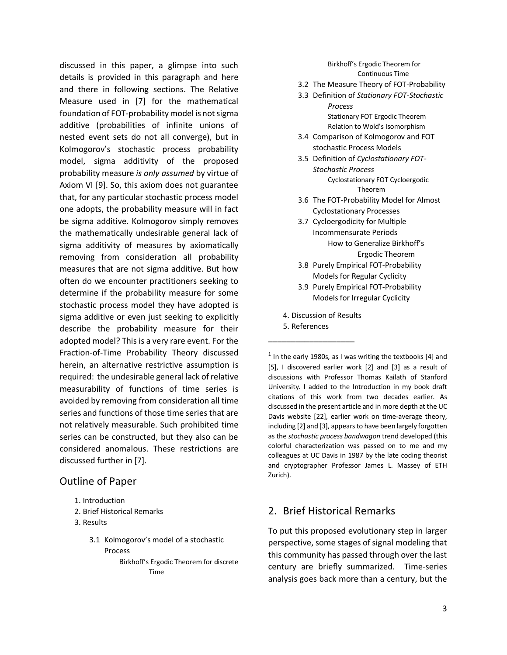discussed in this paper, a glimpse into such details is provided in this paragraph and here and there in following sections. The Relative Measure used in [7] for the mathematical foundation of FOT-probability model is not sigma additive (probabilities of infinite unions of nested event sets do not all converge), but in Kolmogorov's stochastic process probability model, sigma additivity of the proposed probability measure *is only assumed* by virtue of Axiom VI [9]. So, this axiom does not guarantee that, for any particular stochastic process model one adopts, the probability measure will in fact be sigma additive. Kolmogorov simply removes the mathematically undesirable general lack of sigma additivity of measures by axiomatically removing from consideration all probability measures that are not sigma additive. But how often do we encounter practitioners seeking to determine if the probability measure for some stochastic process model they have adopted is sigma additive or even just seeking to explicitly describe the probability measure for their adopted model? This is a very rare event. For the Fraction-of-Time Probability Theory discussed herein, an alternative restrictive assumption is required: the undesirable general lack of relative measurability of functions of time series is avoided by removing from consideration all time series and functions of those time series that are not relatively measurable. Such prohibited time series can be constructed, but they also can be considered anomalous. These restrictions are discussed further in [7].

### Outline of Paper

- 1. Introduction
- 2. Brief Historical Remarks
- 3. Results
	- 3.1 Kolmogorov's model of a stochastic Process
		- Birkhoff's Ergodic Theorem for discrete Time

Birkhoff's Ergodic Theorem for Continuous Time

- 3.2 The Measure Theory of FOT-Probability
- 3.3 Definition of *Stationary FOT-Stochastic Process* Stationary FOT Ergodic Theorem

Relation to Wold's Isomorphism

- 3.4 Comparison of Kolmogorov and FOT stochastic Process Models
- 3.5 Definition of *Cyclostationary FOT-Stochastic Process*  Cyclostationary FOT Cycloergodic Theorem
- 3.6 The FOT-Probability Model for Almost Cyclostationary Processes
- 3.7 Cycloergodicity for Multiple Incommensurate Periods How to Generalize Birkhoff's Ergodic Theorem
- 3.8 Purely Empirical FOT-Probability Models for Regular Cyclicity
- 3.9 Purely Empirical FOT-Probability Models for Irregular Cyclicity
- 4. Discussion of Results
- 5. References \_\_\_\_\_\_\_\_\_\_\_\_\_\_\_\_\_\_\_

 $1$  In the early 1980s, as I was writing the textbooks [4] and [5], I discovered earlier work [2] and [3] as a result of discussions with Professor Thomas Kailath of Stanford University. I added to the Introduction in my book draft citations of this work from two decades earlier. As discussed in the present article and in more depth at the UC Davis website [22], earlier work on time-average theory, including [2] and [3], appears to have been largely forgotten as the *stochastic process bandwagon* trend developed (this colorful characterization was passed on to me and my colleagues at UC Davis in 1987 by the late coding theorist and cryptographer Professor James L. Massey of ETH Zurich).

### 2. Brief Historical Remarks

To put this proposed evolutionary step in larger perspective, some stages of signal modeling that this community has passed through over the last century are briefly summarized. Time-series analysis goes back more than a century, but the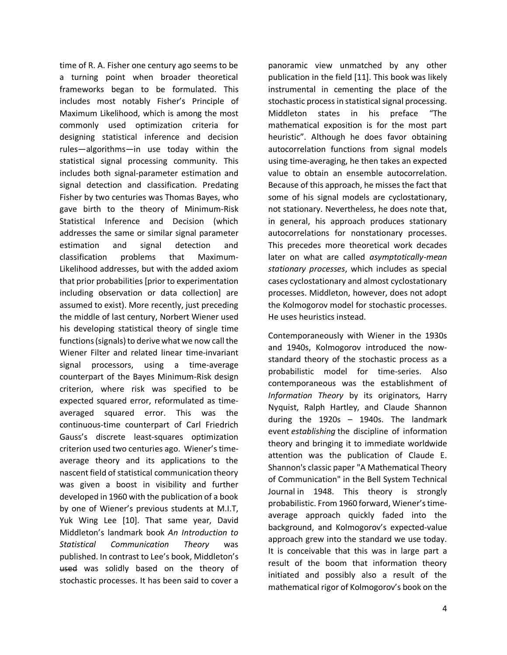time of R. A. Fisher one century ago seems to be a turning point when broader theoretical frameworks began to be formulated. This includes most notably Fisher's Principle of Maximum Likelihood, which is among the most commonly used optimization criteria for designing statistical inference and decision rules—algorithms—in use today within the statistical signal processing community. This includes both signal-parameter estimation and signal detection and classification. Predating Fisher by two centuries was Thomas Bayes, who gave birth to the theory of Minimum-Risk Statistical Inference and Decision (which addresses the same or similar signal parameter estimation and signal detection and classification problems that Maximum-Likelihood addresses, but with the added axiom that prior probabilities [prior to experimentation including observation or data collection] are assumed to exist). More recently, just preceding the middle of last century, Norbert Wiener used his developing statistical theory of single time functions (signals) to derive what we now call the Wiener Filter and related linear time-invariant signal processors, using a time-average counterpart of the Bayes Minimum-Risk design criterion, where risk was specified to be expected squared error, reformulated as timeaveraged squared error. This was the continuous-time counterpart of Carl Friedrich Gauss's discrete least-squares optimization criterion used two centuries ago. Wiener's timeaverage theory and its applications to the nascent field of statistical communication theory was given a boost in visibility and further developed in 1960 with the publication of a book by one of Wiener's previous students at M.I.T, Yuk Wing Lee [10]. That same year, David Middleton's landmark book *An Introduction to Statistical Communication Theory* was published. In contrast to Lee's book, Middleton's used was solidly based on the theory of stochastic processes. It has been said to cover a

panoramic view unmatched by any other publication in the field [11]. This book was likely instrumental in cementing the place of the stochastic process in statistical signal processing. Middleton states in his preface "The mathematical exposition is for the most part heuristic". Although he does favor obtaining autocorrelation functions from signal models using time-averaging, he then takes an expected value to obtain an ensemble autocorrelation. Because of this approach, he misses the fact that some of his signal models are cyclostationary, not stationary. Nevertheless, he does note that, in general, his approach produces stationary autocorrelations for nonstationary processes. This precedes more theoretical work decades later on what are called *asymptotically-mean stationary processes*, which includes as special cases cyclostationary and almost cyclostationary processes. Middleton, however, does not adopt the Kolmogorov model for stochastic processes. He uses heuristics instead.

Contemporaneously with Wiener in the 1930s and 1940s, Kolmogorov introduced the nowstandard theory of the stochastic process as a probabilistic model for time-series. Also contemporaneous was the establishment of *Information Theory* by its originators, Harry Nyquist, Ralph Hartley, and Claude Shannon during the 1920s – 1940s. The landmark event *establishing* the discipline of information theory and bringing it to immediate worldwide attention was the publication of Claude E. Shannon's classic paper "A Mathematical Theory of Communication" in the Bell System Technical Journal in 1948. This theory is strongly probabilistic. From 1960 forward, Wiener's timeaverage approach quickly faded into the background, and Kolmogorov's expected-value approach grew into the standard we use today. It is conceivable that this was in large part a result of the boom that information theory initiated and possibly also a result of the mathematical rigor of Kolmogorov's book on the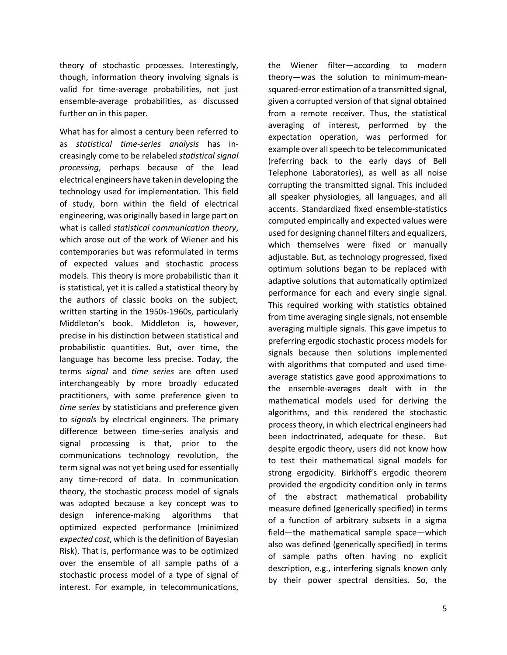theory of stochastic processes. Interestingly, though, information theory involving signals is valid for time-average probabilities, not just ensemble-average probabilities, as discussed further on in this paper.

What has for almost a century been referred to as *statistical time-series analysis* has increasingly come to be relabeled *statistical signal processing*, perhaps because of the lead electrical engineers have taken in developing the technology used for implementation. This field of study, born within the field of electrical engineering, was originally based in large part on what is called *statistical communication theory*, which arose out of the work of Wiener and his contemporaries but was reformulated in terms of expected values and stochastic process models. This theory is more probabilistic than it is statistical, yet it is called a statistical theory by the authors of classic books on the subject, written starting in the 1950s-1960s, particularly Middleton's book. Middleton is, however, precise in his distinction between statistical and probabilistic quantities. But, over time, the language has become less precise. Today, the terms *signal* and *time series* are often used interchangeably by more broadly educated practitioners, with some preference given to *time series* by statisticians and preference given to *signals* by electrical engineers. The primary difference between time-series analysis and signal processing is that, prior to the communications technology revolution, the term signal was not yet being used for essentially any time-record of data. In communication theory, the stochastic process model of signals was adopted because a key concept was to design inference-making algorithms that optimized expected performance (minimized *expected cost*, which is the definition of Bayesian Risk). That is, performance was to be optimized over the ensemble of all sample paths of a stochastic process model of a type of signal of interest. For example, in telecommunications,

theory—was the solution to minimum-meansquared-error estimation of a transmitted signal, given a corrupted version of that signal obtained from a remote receiver. Thus, the statistical averaging of interest, performed by the expectation operation, was performed for example over all speech to be telecommunicated (referring back to the early days of Bell Telephone Laboratories), as well as all noise corrupting the transmitted signal. This included all speaker physiologies, all languages, and all accents. Standardized fixed ensemble-statistics computed empirically and expected values were used for designing channel filters and equalizers, which themselves were fixed or manually adjustable. But, as technology progressed, fixed optimum solutions began to be replaced with adaptive solutions that automatically optimized performance for each and every single signal. This required working with statistics obtained from time averaging single signals, not ensemble averaging multiple signals. This gave impetus to preferring ergodic stochastic process models for signals because then solutions implemented with algorithms that computed and used timeaverage statistics gave good approximations to the ensemble-averages dealt with in the mathematical models used for deriving the algorithms, and this rendered the stochastic process theory, in which electrical engineers had been indoctrinated, adequate for these. But despite ergodic theory, users did not know how to test their mathematical signal models for strong ergodicity. Birkhoff's ergodic theorem provided the ergodicity condition only in terms of the abstract mathematical probability measure defined (generically specified) in terms of a function of arbitrary subsets in a sigma field—the mathematical sample space—which also was defined (generically specified) in terms of sample paths often having no explicit description, e.g., interfering signals known only by their power spectral densities. So, the

the Wiener filter—according to modern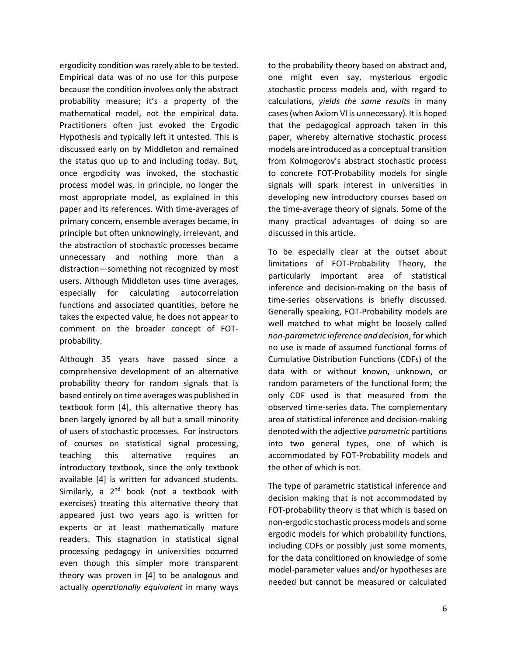ergodicity condition was rarely able to be tested. Empirical data was of no use for this purpose because the condition involves only the abstract probability measure; it's a property of the mathematical model, not the empirical data. Practitioners often just evoked the Ergodic Hypothesis and typically left it untested. This is discussed early on by Middleton and remained the status quo up to and including today. But, once ergodicity was invoked, the stochastic process model was, in principle, no longer the most appropriate model, as explained in this paper and its references. With time-averages of primary concern, ensemble averages became, in principle but often unknowingly, irrelevant, and the abstraction of stochastic processes became unnecessary and nothing more than a distraction—something not recognized by most users. Although Middleton uses time averages, especially for calculating autocorrelation functions and associated quantities, before he takes the expected value, he does not appear to comment on the broader concept of FOTprobability.

Although 35 years have passed since a comprehensive development of an alternative probability theory for random signals that is based entirely on time averages was published in textbook form [4], this alternative theory has been largely ignored by all but a small minority of users of stochastic processes. For instructors of courses on statistical signal processing, teaching this alternative requires an introductory textbook, since the only textbook available [4] is written for advanced students. Similarly, a  $2<sup>nd</sup>$  book (not a textbook with exercises) treating this alternative theory that appeared just two years ago is written for experts or at least mathematically mature readers. This stagnation in statistical signal processing pedagogy in universities occurred even though this simpler more transparent theory was proven in [4] to be analogous and actually *operationally equivalent* in many ways

to the probability theory based on abstract and, one might even say, mysterious ergodic stochastic process models and, with regard to calculations, *yields the same results* in many cases (when Axiom VI is unnecessary)*.* It is hoped that the pedagogical approach taken in this paper, whereby alternative stochastic process models are introduced as a conceptual transition from Kolmogorov's abstract stochastic process to concrete FOT-Probability models for single signals will spark interest in universities in developing new introductory courses based on the time-average theory of signals. Some of the many practical advantages of doing so are discussed in this article.

To be especially clear at the outset about limitations of FOT-Probability Theory, the particularly important area of statistical inference and decision-making on the basis of time-series observations is briefly discussed. Generally speaking, FOT-Probability models are well matched to what might be loosely called *non-parametric inference and decision*, for which no use is made of assumed functional forms of Cumulative Distribution Functions (CDFs) of the data with or without known, unknown, or random parameters of the functional form; the only CDF used is that measured from the observed time-series data. The complementary area of statistical inference and decision-making denoted with the adjective *parametric* partitions into two general types, one of which is accommodated by FOT-Probability models and the other of which is not.

The type of parametric statistical inference and decision making that is not accommodated by FOT-probability theory is that which is based on non-ergodic stochastic process models and some ergodic models for which probability functions, including CDFs or possibly just some moments, for the data conditioned on knowledge of some model-parameter values and/or hypotheses are needed but cannot be measured or calculated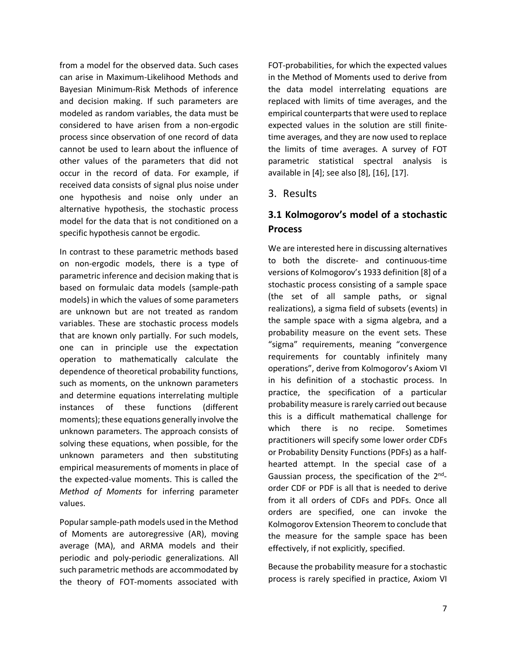from a model for the observed data. Such cases can arise in Maximum-Likelihood Methods and Bayesian Minimum-Risk Methods of inference and decision making. If such parameters are modeled as random variables, the data must be considered to have arisen from a non-ergodic process since observation of one record of data cannot be used to learn about the influence of other values of the parameters that did not occur in the record of data. For example, if received data consists of signal plus noise under one hypothesis and noise only under an alternative hypothesis, the stochastic process model for the data that is not conditioned on a specific hypothesis cannot be ergodic.

In contrast to these parametric methods based on non-ergodic models, there is a type of parametric inference and decision making that is based on formulaic data models (sample-path models) in which the values of some parameters are unknown but are not treated as random variables. These are stochastic process models that are known only partially. For such models, one can in principle use the expectation operation to mathematically calculate the dependence of theoretical probability functions, such as moments, on the unknown parameters and determine equations interrelating multiple instances of these functions (different moments); these equations generally involve the unknown parameters. The approach consists of solving these equations, when possible, for the unknown parameters and then substituting empirical measurements of moments in place of the expected-value moments. This is called the *Method of Moments* for inferring parameter values.

Popular sample-path models used in the Method of Moments are autoregressive (AR), moving average (MA), and ARMA models and their periodic and poly-periodic generalizations. All such parametric methods are accommodated by the theory of FOT-moments associated with

FOT-probabilities, for which the expected values in the Method of Moments used to derive from the data model interrelating equations are replaced with limits of time averages, and the empirical counterparts that were used to replace expected values in the solution are still finitetime averages, and they are now used to replace the limits of time averages. A survey of FOT parametric statistical spectral analysis is available in [4]; see also [8], [16], [17].

### 3. Results

# **3.1 Kolmogorov's model of a stochastic Process**

We are interested here in discussing alternatives to both the discrete- and continuous-time versions of Kolmogorov's 1933 definition [8] of a stochastic process consisting of a sample space (the set of all sample paths, or signal realizations), a sigma field of subsets (events) in the sample space with a sigma algebra, and a probability measure on the event sets. These "sigma" requirements, meaning "convergence requirements for countably infinitely many operations", derive from Kolmogorov's Axiom VI in his definition of a stochastic process. In practice, the specification of a particular probability measure is rarely carried out because this is a difficult mathematical challenge for which there is no recipe. Sometimes practitioners will specify some lower order CDFs or Probability Density Functions (PDFs) as a halfhearted attempt. In the special case of a Gaussian process, the specification of the 2<sup>nd</sup>order CDF or PDF is all that is needed to derive from it all orders of CDFs and PDFs. Once all orders are specified, one can invoke the Kolmogorov Extension Theorem to conclude that the measure for the sample space has been effectively, if not explicitly, specified.

Because the probability measure for a stochastic process is rarely specified in practice, Axiom VI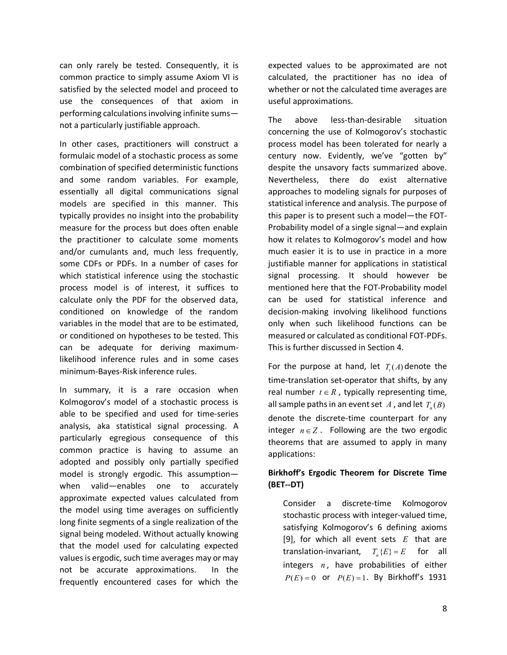can only rarely be tested. Consequently, it is common practice to simply assume Axiom VI is satisfied by the selected model and proceed to use the consequences of that axiom in performing calculations involving infinite sums not a particularly justifiable approach.

In other cases, practitioners will construct a formulaic model of a stochastic process as some combination of specified deterministic functions and some random variables. For example, essentially all digital communications signal models are specified in this manner. This typically provides no insight into the probability measure for the process but does often enable the practitioner to calculate some moments and/or cumulants and, much less frequently, some CDFs or PDFs. In a number of cases for which statistical inference using the stochastic process model is of interest, it suffices to calculate only the PDF for the observed data, conditioned on knowledge of the random variables in the model that are to be estimated, or conditioned on hypotheses to be tested. This can be adequate for deriving maximumlikelihood inference rules and in some cases minimum-Bayes-Risk inference rules.

In summary, it is a rare occasion when Kolmogorov's model of a stochastic process is able to be specified and used for time-series analysis, aka statistical signal processing. A particularly egregious consequence of this common practice is having to assume an adopted and possibly only partially specified model is strongly ergodic. This assumption when valid—enables one to accurately approximate expected values calculated from the model using time averages on sufficiently long finite segments of a single realization of the signal being modeled. Without actually knowing that the model used for calculating expected values is ergodic, such time averages may or may not be accurate approximations. In the frequently encountered cases for which the

expected values to be approximated are not calculated, the practitioner has no idea of whether or not the calculated time averages are useful approximations.

The above less-than-desirable situation concerning the use of Kolmogorov's stochastic process model has been tolerated for nearly a century now. Evidently, we've "gotten by" despite the unsavory facts summarized above. Nevertheless, there do exist alternative approaches to modeling signals for purposes of statistical inference and analysis. The purpose of this paper is to present such a model—the FOT-Probability model of a single signal—and explain how it relates to Kolmogorov's model and how much easier it is to use in practice in a more justifiable manner for applications in statistical signal processing. It should however be mentioned here that the FOT-Probability model can be used for statistical inference and decision-making involving likelihood functions only when such likelihood functions can be measured or calculated as conditional FOT-PDFs. This is further discussed in Section 4.

For the purpose at hand, let  $T<sub>t</sub>(A)$  denote the time-translation set-operator that shifts, by any real number  $t \in R$ , typically representing time, all sample paths in an event set  $A$ , and let  $T_n(B)$ denote the discrete-time counterpart for any integer  $n \in \mathbb{Z}$ . Following are the two ergodic theorems that are assumed to apply in many applications:

### **Birkhoff's Ergodic Theorem for Discrete Time (BET--DT)**

Consider a discrete-time Kolmogorov stochastic process with integer-valued time, satisfying Kolmogorov's 6 defining axioms [9], for which all event sets *E* that are translation-invariant,  $T_{\perp}\{E\} = E$  for all integers  $n$ , have probabilities of either  $P(E) = 0$  or  $P(E) = 1$ . By Birkhoff's 1931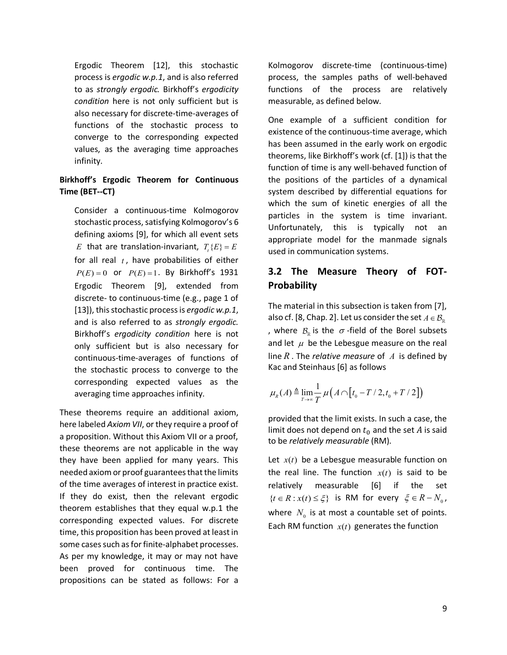Ergodic Theorem [12], this stochastic process is *ergodic w.p.1*, and is also referred to as *strongly ergodic.* Birkhoff's *ergodicity condition* here is not only sufficient but is also necessary for discrete-time-averages of functions of the stochastic process to converge to the corresponding expected values, as the averaging time approaches infinity.

### **Birkhoff's Ergodic Theorem for Continuous Time (BET--CT)**

Consider a continuous-time Kolmogorov stochastic process, satisfying Kolmogorov's 6 defining axioms [9], for which all event sets *E* that are translation-invariant,  $T_x(E) = E$ for all real  $t$ , have probabilities of either  $P(E) = 0$  or  $P(E) = 1$ . By Birkhoff's 1931 Ergodic Theorem [9], extended from discrete- to continuous-time (e.g., page 1 of [13]), this stochastic process is *ergodic w.p.1*, and is also referred to as *strongly ergodic.*  Birkhoff's *ergodicity condition* here is not only sufficient but is also necessary for continuous-time-averages of functions of the stochastic process to converge to the corresponding expected values as the averaging time approaches infinity.

These theorems require an additional axiom, here labeled *Axiom VII*, or they require a proof of a proposition. Without this Axiom VII or a proof, these theorems are not applicable in the way they have been applied for many years. This needed axiom or proof guarantees that the limits of the time averages of interest in practice exist. If they do exist, then the relevant ergodic theorem establishes that they equal w.p.1 the corresponding expected values. For discrete time, this proposition has been proved at least in some cases such as for finite-alphabet processes. As per my knowledge, it may or may not have been proved for continuous time. The propositions can be stated as follows: For a

Kolmogorov discrete-time (continuous-time) process, the samples paths of well-behaved functions of the process are relatively measurable, as defined below.

One example of a sufficient condition for existence of the continuous-time average, which has been assumed in the early work on ergodic theorems, like Birkhoff's work (cf. [1]) is that the function of time is any well-behaved function of the positions of the particles of a dynamical system described by differential equations for which the sum of kinetic energies of all the particles in the system is time invariant. Unfortunately, this is typically not an appropriate model for the manmade signals used in communication systems.

# **3.2 The Measure Theory of FOT-Probability**

The material in this subsection is taken from [7], also cf. [8, Chap. 2]. Let us consider the set  $A \in \mathcal{B}_p$ , where  $\mathcal{B}_{\mathbb{R}}$  is the  $\sigma$ -field of the Borel subsets and let  $\mu$  be the Lebesgue measure on the real line *R* . The *relative measure* of *A* is defined by Kac and Steinhaus [6] as follows

$$
\mu_R(A) \triangleq \lim_{T \to \infty} \frac{1}{T} \mu\big(A \cap \big[t_0 - T/2, t_0 + T/2\big]\big)
$$

provided that the limit exists. In such a case, the limit does not depend on  $t_0$  and the set A is said to be *relatively measurable* (RM).

Let  $x(t)$  be a Lebesgue measurable function on the real line. The function  $x(t)$  is said to be relatively measurable [6] if the set  $\{t \in R : x(t) \leq \xi\}$  is RM for every  $\xi \in R - N_0$ , where  $N_0$  is at most a countable set of points. Each RM function  $x(t)$  generates the function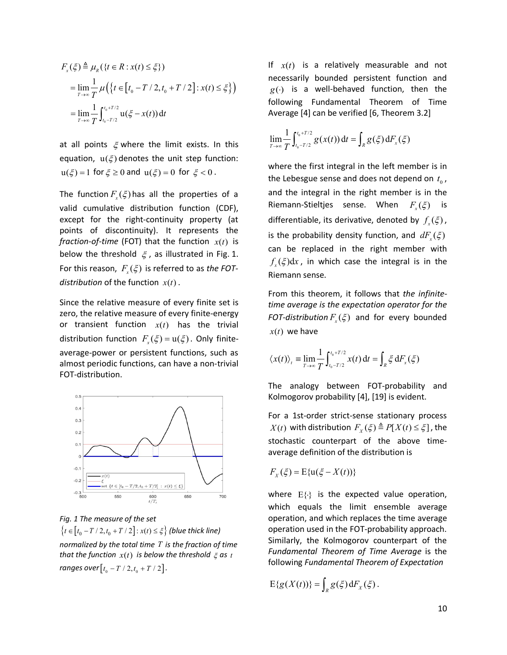$$
F_x(\xi) \triangleq \mu_R(\{t \in R : x(t) \leq \xi\})
$$
  
= 
$$
\lim_{T \to \infty} \frac{1}{T} \mu(\{t \in [t_0 - T / 2, t_0 + T / 2] : x(t) \leq \xi\})
$$
  
= 
$$
\lim_{T \to \infty} \frac{1}{T} \int_{t_0 - T/2}^{t_0 + T/2} u(\xi - x(t)) dt
$$

at all points  $\xi$  where the limit exists. In this equation,  $u(\xi)$  denotes the unit step function:  $u(\xi) = 1$  for  $\xi \ge 0$  and  $u(\xi) = 0$  for  $\xi < 0$ .

The function  $F(x, \xi)$  has all the properties of a valid cumulative distribution function (CDF), except for the right-continuity property (at points of discontinuity). It represents the *fraction-of-time* (FOT) that the function  $x(t)$  is below the threshold  $\xi$ , as illustrated in Fig. 1. For this reason,  $F(x)$  is referred to as *the FOTdistribution* of the function  $x(t)$ .

Since the relative measure of every finite set is zero, the relative measure of every finite-energy or transient function  $x(t)$  has the trivial distribution function  $F(x) = u(\xi)$ . Only finiteaverage-power or persistent functions, such as almost periodic functions, can have a non-trivial FOT-distribution.



*Fig. 1 The measure of the set*

 ${t \in [t_0 - T / 2, t_0 + T / 2]: x(t) ≤ ξ}$  (blue thick line) *normalized by the total time T is the fraction of time that the function*  $x(t)$  *is below the threshold*  $\xi$  *as t ranges over*  $[t_0 - T / 2, t_0 + T / 2]$ .

If  $x(t)$  is a relatively measurable and not necessarily bounded persistent function and  $g(\cdot)$  is a well-behaved function, then the following Fundamental Theorem of Time Average [4] can be verified [6, Theorem 3.2]

$$
\lim_{T \to \infty} \frac{1}{T} \int_{t_0 - T/2}^{t_0 + T/2} g(x(t)) dt = \int_{R} g(\xi) dF_x(\xi)
$$

where the first integral in the left member is in the Lebesgue sense and does not depend on  $t_0$ , and the integral in the right member is in the Riemann-Stieltjes sense. When  $F_{\mu}(\xi)$  is differentiable, its derivative, denoted by  $f_{\rm r}(\xi)$ , is the probability density function, and  $dF_x(\xi)$ can be replaced in the right member with  $f_{\rm x}(\xi)dx$ , in which case the integral is in the Riemann sense.

From this theorem, it follows that *the infinitetime average is the expectation operator for the FOT-distribution*  $F_r(\xi)$  and for every bounded  $x(t)$  we have

$$
\langle x(t) \rangle_t \equiv \lim_{T \to \infty} \frac{1}{T} \int_{t_0 - T/2}^{t_0 + T/2} x(t) dt = \int_R \xi dF_x(\xi)
$$

The analogy between FOT-probability and Kolmogorov probability [4], [19] is evident.

For a 1st-order strict-sense stationary process *X*(*t*) with distribution  $F_r(\xi) \triangleq P[X(t) \leq \xi]$ , the stochastic counterpart of the above timeaverage definition of the distribution is

$$
F_X(\xi) = \mathbb{E}\{\mathbf{u}(\xi - X(t))\}
$$

where  $E\{\cdot\}$  is the expected value operation, which equals the limit ensemble average operation, and which replaces the time average operation used in the FOT-probability approach. Similarly, the Kolmogorov counterpart of the *Fundamental Theorem of Time Average* is the following *Fundamental Theorem of Expectation*

 $E{g(X(t))} = \int_{R} g(\xi) dF_{X}(\xi)$ .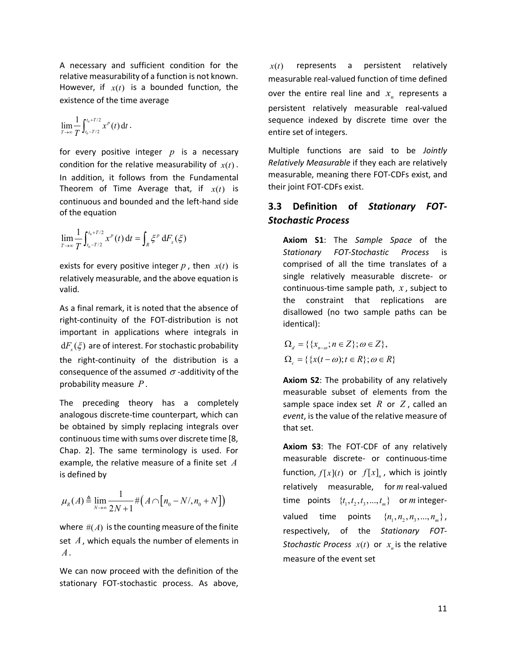A necessary and sufficient condition for the relative measurability of a function is not known. However, if  $x(t)$  is a bounded function, the existence of the time average

$$
\lim_{T\to\infty}\frac{1}{T}\int_{t_0-T/2}^{t_0+T/2}x^p(t)\,\mathrm{d}t\,.
$$

for every positive integer *p* is a necessary condition for the relative measurability of  $x(t)$ . In addition, it follows from the Fundamental Theorem of Time Average that, if  $x(t)$  is continuous and bounded and the left-hand side of the equation

$$
\lim_{T\to\infty}\frac{1}{T}\int_{t_0-T/2}^{t_0+T/2}x^p(t)\,\mathrm{d}t=\int_R\xi^p\,\mathrm{d}F_x(\xi)
$$

exists for every positive integer  $p$ , then  $x(t)$  is relatively measurable, and the above equation is valid.

As a final remark, it is noted that the absence of right-continuity of the FOT-distribution is not important in applications where integrals in  $dF_{r}(\xi)$  are of interest. For stochastic probability the right-continuity of the distribution is a consequence of the assumed  $\sigma$ -additivity of the probability measure *P* .

The preceding theory has a completely analogous discrete-time counterpart, which can be obtained by simply replacing integrals over continuous time with sums over discrete time [8, Chap. 2]. The same terminology is used. For example, the relative measure of a finite set *A* is defined by

$$
\mu_R(A) \triangleq \lim_{N \to \infty} \frac{1}{2N+1} \# \big( A \cap \big[ n_0 - N/ n_0 + N \big] \big)
$$

where  $#(A)$  is the counting measure of the finite set *A*, which equals the number of elements in *A*.

We can now proceed with the definition of the stationary FOT-stochastic process. As above,

 $x(t)$  represents a persistent relatively measurable real-valued function of time defined over the entire real line and  $x<sub>n</sub>$  represents a persistent relatively measurable real-valued sequence indexed by discrete time over the entire set of integers.

Multiple functions are said to be *Jointly Relatively Measurable* if they each are relatively measurable, meaning there FOT-CDFs exist, and their joint FOT-CDFs exist.

### **3.3 Definition of** *Stationary FOT-Stochastic Process*

**Axiom S1**: The *Sample Space* of the *Stationary FOT-Stochastic Process* is comprised of all the time translates of a single relatively measurable discrete- or continuous-time sample path, *x* , subject to the constraint that replications are disallowed (no two sample paths can be identical):

$$
\Omega_d = \{ \{x_{n-\omega}; n \in Z\}; \omega \in Z \},\
$$
  

$$
\Omega_c = \{ \{x(t-\omega); t \in R\}; \omega \in R \}
$$

**Axiom S2**: The probability of any relatively measurable subset of elements from the sample space index set *R* or *Z* , called an *event*, is the value of the relative measure of that set.

**Axiom S3**: The FOT-CDF of any relatively measurable discrete- or continuous-time function,  $f[x](t)$  or  $f[x]_n$ , which is jointly relatively measurable, for *m* real-valued time points  $\{t_1, t_2, t_3, ..., t_m\}$  or *m* integervalued time points  $\{n_1, n_2, n_3, ..., n_m\}$ , respectively, of the *Stationary FOT-Stochastic Process*  $x(t)$  or  $x<sub>n</sub>$  is the relative measure of the event set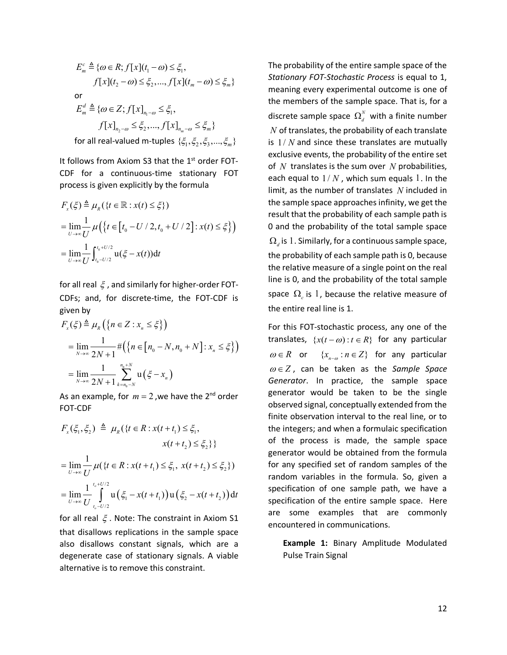$$
E_m^c \triangleq \{ \omega \in R; f[x](t_1 - \omega) \leq \xi_1, \nf[x](t_2 - \omega) \leq \xi_2, ..., f[x](t_m - \omega) \leq \xi_m \}
$$
  
or  

$$
E_m^d \triangleq \{ \omega \in Z; f[x]_{n_1 - \omega} \leq \xi_1, \nf[x]_{n_2 - \omega} \leq \xi_2, ..., f[x]_{n_m - \omega} \leq \xi_m \}
$$
  
for all real-valued m-tuples  $\{ \xi_1, \xi_2, \xi_3, ..., \xi_m \}$ 

It follows from Axiom S3 that the  $1<sup>st</sup>$  order FOT-CDF for a continuous-time stationary FOT process is given explicitly by the formula

$$
F_x(\xi) \triangleq \mu_R(\lbrace t \in \mathbb{R} : x(t) \leq \xi \rbrace)
$$
  
= 
$$
\lim_{U \to \infty} \frac{1}{U} \mu(\lbrace t \in [t_0 - U/2, t_0 + U/2] : x(t) \leq \xi \rbrace)
$$
  
= 
$$
\lim_{U \to \infty} \frac{1}{U} \int_{t_0 - U/2}^{t_0 + U/2} u(\xi - x(t)) dt
$$

for all real  $\xi$ , and similarly for higher-order FOT-CDFs; and, for discrete-time, the FOT-CDF is given by

$$
F_x(\xi) \triangleq \mu_R \left( \left\{ n \in Z : x_n \leq \xi \right\} \right)
$$
  
= 
$$
\lim_{N \to \infty} \frac{1}{2N+1} \# \left( \left\{ n \in [n_0 - N, n_0 + N] : x_n \leq \xi \right\} \right)
$$
  
= 
$$
\lim_{N \to \infty} \frac{1}{2N+1} \sum_{k=n_0 - N}^{n_0 + N} \mathbf{u} \left( \xi - x_n \right)
$$

As an example, for  $m = 2$ , we have the 2<sup>nd</sup> order FOT-CDF

$$
F_x(\xi_1, \xi_2) \triangleq \mu_R(\{t \in R : x(t + t_1) \leq \xi_1, x(t + t_2) \leq \xi_2\})
$$
  
= 
$$
\lim_{U \to \infty} \frac{1}{U} \mu(\{t \in R : x(t + t_1) \leq \xi_1, x(t + t_2) \leq \xi_2\})
$$
  
= 
$$
\lim_{U \to \infty} \frac{1}{U} \int_{t_0 - U/2}^{t_0 + U/2} u(\xi_1 - x(t + t_1)) u(\xi_2 - x(t + t_2)) dt
$$

for all real  $\xi$ . Note: The constraint in Axiom S1 that disallows replications in the sample space also disallows constant signals, which are a degenerate case of stationary signals. A viable alternative is to remove this constraint.

The probability of the entire sample space of the *Stationary FOT-Stochastic Process* is equal to 1, meaning every experimental outcome is one of the members of the sample space. That is, for a discrete sample space  $\Omega_d^N$  with a finite number *N* of translates, the probability of each translate is 1/ *N* and since these translates are mutually exclusive events, the probability of the entire set of *N* translates is the sum over *N* probabilities, each equal to  $1/N$ , which sum equals 1. In the limit, as the number of translates *N* included in the sample space approaches infinity, we get the result that the probability of each sample path is 0 and the probability of the total sample space  $\Omega_d$  is 1. Similarly, for a continuous sample space, the probability of each sample path is 0, because the relative measure of a single point on the real line is 0, and the probability of the total sample space  $\Omega_c$  is 1, because the relative measure of the entire real line is 1.

For this FOT-stochastic process, any one of the translates,  $\{x(t - \omega) : t \in R\}$  for any particular  $\omega \in R$  or  $\{x_{n-\omega} : n \in Z\}$  for any particular  $\omega \in Z$ , can be taken as the *Sample Space Generator*. In practice, the sample space generator would be taken to be the single observed signal, conceptually extended from the finite observation interval to the real line, or to the integers; and when a formulaic specification of the process is made, the sample space generator would be obtained from the formula for any specified set of random samples of the random variables in the formula. So, given a specification of one sample path, we have a specification of the entire sample space. Here are some examples that are commonly encountered in communications.

**Example 1:** Binary Amplitude Modulated Pulse Train Signal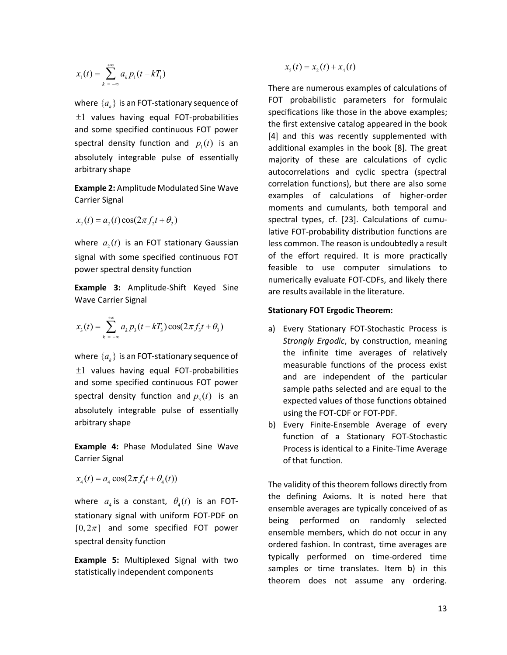$$
x_1(t) = \sum_{k=-\infty}^{+\infty} a_k p_1(t - kT_1)
$$

where  ${a_k}$  is an FOT-stationary sequence of  $±1$  values having equal FOT-probabilities and some specified continuous FOT power spectral density function and  $p_{\mu}(t)$  is an absolutely integrable pulse of essentially arbitrary shape

**Example 2:** Amplitude Modulated Sine Wave Carrier Signal

$$
x_2(t) = a_2(t)\cos(2\pi f_2 t + \theta_2)
$$

where  $a<sub>2</sub>(t)$  is an FOT stationary Gaussian signal with some specified continuous FOT power spectral density function

**Example 3:** Amplitude-Shift Keyed Sine Wave Carrier Signal

$$
x_3(t) = \sum_{k=-\infty}^{+\infty} a_k p_3(t - kT_3) \cos(2\pi f_3 t + \theta_3)
$$

where  ${a_k}$  is an FOT-stationary sequence of  $±1$  values having equal FOT-probabilities and some specified continuous FOT power spectral density function and  $p_1(t)$  is an absolutely integrable pulse of essentially arbitrary shape

**Example 4:** Phase Modulated Sine Wave Carrier Signal

$$
x_4(t) = a_4 \cos(2\pi f_4 t + \theta_4(t))
$$

where  $a_4$  is a constant,  $\theta_4(t)$  is an FOTstationary signal with uniform FOT-PDF on  $[0, 2\pi]$  and some specified FOT power spectral density function

**Example 5:** Multiplexed Signal with two statistically independent components

 $x_5(t) = x_2(t) + x_4(t)$ 

There are numerous examples of calculations of FOT probabilistic parameters for formulaic specifications like those in the above examples; the first extensive catalog appeared in the book [4] and this was recently supplemented with additional examples in the book [8]. The great majority of these are calculations of cyclic autocorrelations and cyclic spectra (spectral correlation functions), but there are also some examples of calculations of higher-order moments and cumulants, both temporal and spectral types, cf. [23]. Calculations of cumulative FOT-probability distribution functions are less common. The reason is undoubtedly a result of the effort required. It is more practically feasible to use computer simulations to numerically evaluate FOT-CDFs, and likely there are results available in the literature.

#### **Stationary FOT Ergodic Theorem:**

- a) Every Stationary FOT-Stochastic Process is *Strongly Ergodic*, by construction, meaning the infinite time averages of relatively measurable functions of the process exist and are independent of the particular sample paths selected and are equal to the expected values of those functions obtained using the FOT-CDF or FOT-PDF.
- b) Every Finite-Ensemble Average of every function of a Stationary FOT-Stochastic Process is identical to a Finite-Time Average of that function.

The validity of this theorem follows directly from the defining Axioms. It is noted here that ensemble averages are typically conceived of as being performed on randomly selected ensemble members, which do not occur in any ordered fashion. In contrast, time averages are typically performed on time-ordered time samples or time translates. Item b) in this theorem does not assume any ordering.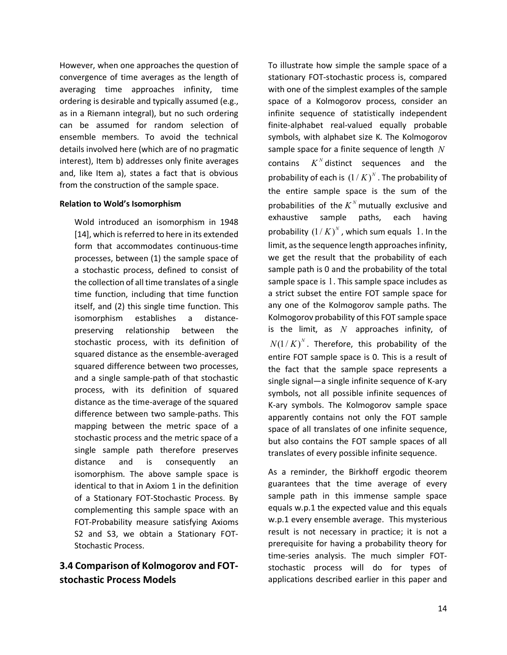However, when one approaches the question of convergence of time averages as the length of averaging time approaches infinity, time ordering is desirable and typically assumed (e.g., as in a Riemann integral), but no such ordering can be assumed for random selection of ensemble members. To avoid the technical details involved here (which are of no pragmatic interest), Item b) addresses only finite averages and, like Item a), states a fact that is obvious from the construction of the sample space.

#### **Relation to Wold's Isomorphism**

Wold introduced an isomorphism in 1948 [14], which is referred to here in its extended form that accommodates continuous-time processes, between (1) the sample space of a stochastic process, defined to consist of the collection of all time translates of a single time function, including that time function itself, and (2) this single time function. This isomorphism establishes a distancepreserving relationship between the stochastic process, with its definition of squared distance as the ensemble-averaged squared difference between two processes, and a single sample-path of that stochastic process, with its definition of squared distance as the time-average of the squared difference between two sample-paths. This mapping between the metric space of a stochastic process and the metric space of a single sample path therefore preserves distance and is consequently an isomorphism. The above sample space is identical to that in Axiom 1 in the definition of a Stationary FOT-Stochastic Process. By complementing this sample space with an FOT-Probability measure satisfying Axioms S2 and S3, we obtain a Stationary FOT-Stochastic Process.

# **3.4 Comparison of Kolmogorov and FOTstochastic Process Models**

To illustrate how simple the sample space of a stationary FOT-stochastic process is, compared with one of the simplest examples of the sample space of a Kolmogorov process, consider an infinite sequence of statistically independent finite-alphabet real-valued equally probable symbols, with alphabet size K. The Kolmogorov sample space for a finite sequence of length *N* contains  $K^N$  distinct sequences and the probability of each is  $(1/K)^N$ . The probability of the entire sample space is the sum of the probabilities of the  $K^N$  mutually exclusive and exhaustive sample paths, each having probability  $(1/K)^N$ , which sum equals 1. In the limit, as the sequence length approaches infinity, we get the result that the probability of each sample path is 0 and the probability of the total sample space is 1. This sample space includes as a strict subset the entire FOT sample space for any one of the Kolmogorov sample paths. The Kolmogorov probability of this FOT sample space is the limit, as *N* approaches infinity, of  $N(1/K)^N$ . Therefore, this probability of the entire FOT sample space is 0. This is a result of the fact that the sample space represents a single signal—a single infinite sequence of K-ary symbols, not all possible infinite sequences of K-ary symbols. The Kolmogorov sample space apparently contains not only the FOT sample space of all translates of one infinite sequence, but also contains the FOT sample spaces of all translates of every possible infinite sequence.

As a reminder, the Birkhoff ergodic theorem guarantees that the time average of every sample path in this immense sample space equals w.p.1 the expected value and this equals w.p.1 every ensemble average. This mysterious result is not necessary in practice; it is not a prerequisite for having a probability theory for time-series analysis. The much simpler FOTstochastic process will do for types of applications described earlier in this paper and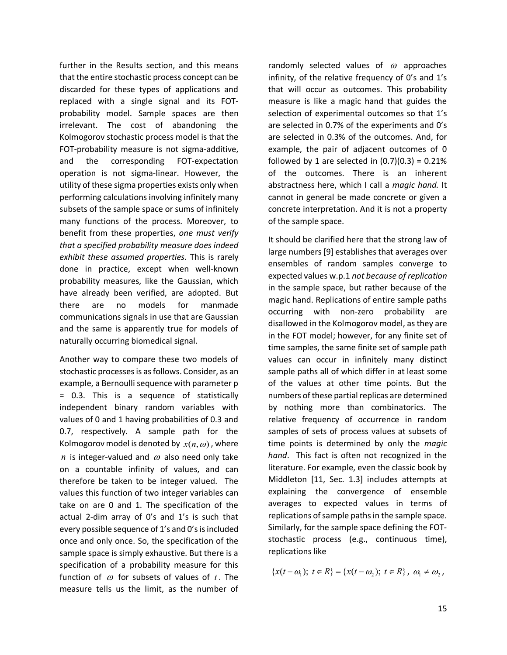further in the Results section, and this means that the entire stochastic process concept can be discarded for these types of applications and replaced with a single signal and its FOTprobability model. Sample spaces are then irrelevant. The cost of abandoning the Kolmogorov stochastic process model is that the FOT-probability measure is not sigma-additive, and the corresponding FOT-expectation operation is not sigma-linear. However, the utility of these sigma properties exists only when performing calculations involving infinitely many subsets of the sample space or sums of infinitely many functions of the process. Moreover, to benefit from these properties, *one must verify that a specified probability measure does indeed exhibit these assumed properties*. This is rarely done in practice, except when well-known probability measures, like the Gaussian, which have already been verified, are adopted. But there are no models for manmade communications signals in use that are Gaussian and the same is apparently true for models of naturally occurring biomedical signal.

Another way to compare these two models of stochastic processes is as follows. Consider, as an example, a Bernoulli sequence with parameter p = 0.3. This is a sequence of statistically independent binary random variables with values of 0 and 1 having probabilities of 0.3 and 0.7, respectively. A sample path for the Kolmogorov model is denoted by  $x(n, \omega)$ , where *n* is integer-valued and  $\omega$  also need only take on a countable infinity of values, and can therefore be taken to be integer valued. The values this function of two integer variables can take on are 0 and 1. The specification of the actual 2-dim array of 0's and 1's is such that every possible sequence of 1's and 0's is included once and only once. So, the specification of the sample space is simply exhaustive. But there is a specification of a probability measure for this function of  $\omega$  for subsets of values of  $t$ . The measure tells us the limit, as the number of

randomly selected values of  $\omega$  approaches infinity, of the relative frequency of 0's and 1's that will occur as outcomes. This probability measure is like a magic hand that guides the selection of experimental outcomes so that 1's are selected in 0.7% of the experiments and 0's are selected in 0.3% of the outcomes. And, for example, the pair of adjacent outcomes of 0 followed by 1 are selected in  $(0.7)(0.3) = 0.21\%$ of the outcomes. There is an inherent abstractness here, which I call a *magic hand.* It cannot in general be made concrete or given a concrete interpretation. And it is not a property of the sample space.

It should be clarified here that the strong law of large numbers [9] establishes that averages over ensembles of random samples converge to expected values w.p.1 *not because of replication* in the sample space, but rather because of the magic hand. Replications of entire sample paths occurring with non-zero probability are disallowed in the Kolmogorov model, as they are in the FOT model; however, for any finite set of time samples, the same finite set of sample path values can occur in infinitely many distinct sample paths all of which differ in at least some of the values at other time points. But the numbers of these partial replicas are determined by nothing more than combinatorics. The relative frequency of occurrence in random samples of sets of process values at subsets of time points is determined by only the *magic hand*. This fact is often not recognized in the literature. For example, even the classic book by Middleton [11, Sec. 1.3] includes attempts at explaining the convergence of ensemble averages to expected values in terms of replications of sample paths in the sample space. Similarly, for the sample space defining the FOTstochastic process (e.g., continuous time), replications like

 ${x(t - \omega_1); t \in R} = {x(t - \omega_2); t \in R}, \omega_1 \neq \omega_2,$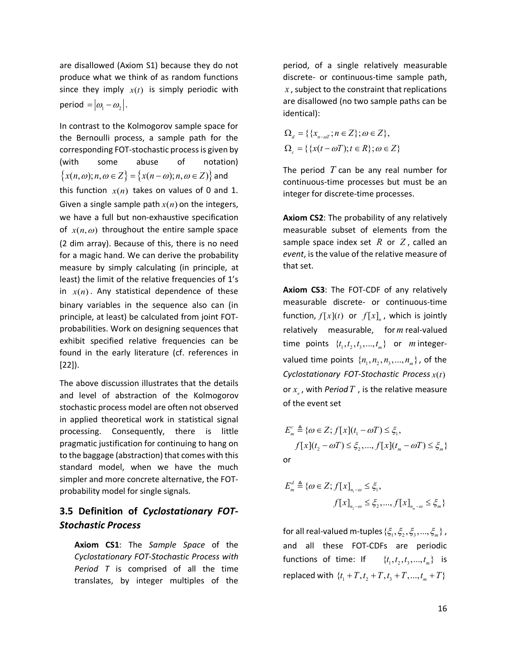are disallowed (Axiom S1) because they do not produce what we think of as random functions since they imply  $x(t)$  is simply periodic with period =  $|\omega_1 - \omega_2|$ .

In contrast to the Kolmogorov sample space for the Bernoulli process, a sample path for the corresponding FOT-stochastic process is given by (with some abuse of notation)  $\{x(n, \omega); n, \omega \in Z\} = \{x(n - \omega); n, \omega \in Z\}$  and this function  $x(n)$  takes on values of 0 and 1. Given a single sample path  $x(n)$  on the integers, we have a full but non-exhaustive specification of  $x(n, \omega)$  throughout the entire sample space (2 dim array). Because of this, there is no need for a magic hand. We can derive the probability measure by simply calculating (in principle, at least) the limit of the relative frequencies of 1's in  $x(n)$ . Any statistical dependence of these binary variables in the sequence also can (in principle, at least) be calculated from joint FOTprobabilities. Work on designing sequences that exhibit specified relative frequencies can be found in the early literature (cf. references in [22]).

The above discussion illustrates that the details and level of abstraction of the Kolmogorov stochastic process model are often not observed in applied theoretical work in statistical signal processing. Consequently, there is little pragmatic justification for continuing to hang on to the baggage (abstraction) that comes with this standard model, when we have the much simpler and more concrete alternative, the FOTprobability model for single signals.

# **3.5 Definition of** *Cyclostationary FOT-Stochastic Process*

**Axiom CS1**: The *Sample Space* of the *Cyclostationary FOT-Stochastic Process with Period T* is comprised of all the time translates, by integer multiples of the

period, of a single relatively measurable discrete- or continuous-time sample path, *x* , subject to the constraint that replications are disallowed (no two sample paths can be identical):

$$
\Omega_d = \{ \{ x_{n \text{--} \omega \tau}; n \in Z \}; \omega \in Z \},
$$
  

$$
\Omega_c = \{ \{ x(t - \omega T); t \in R \}; \omega \in Z \}
$$

The period *T* can be any real number for continuous-time processes but must be an integer for discrete-time processes.

**Axiom CS2**: The probability of any relatively measurable subset of elements from the sample space index set *R* or *Z* , called an *event*, is the value of the relative measure of that set.

**Axiom CS3**: The FOT-CDF of any relatively measurable discrete- or continuous-time function,  $f[x](t)$  or  $f[x]_n$ , which is jointly relatively measurable, for *m* real-valued time points  $\{t_1, t_2, t_3, ..., t_m\}$  or *m* integervalued time points  $\{n_1, n_2, n_3, ..., n_m\}$ , of the *Cyclostationary FOT-Stochastic Process*  $x(t)$ or  $x_{n}$ , with *Period*  $T$ , is the relative measure of the event set

 $\mathcal{L}_{m}^{c} \triangleq {\boldsymbol{\omega}} \in Z; f[x](t_1 - \omega T) \leq \xi_1,$  $f[x](t_2 - \omega T) \leq \xi_2, ..., f[x](t_m - \omega T) \leq \xi_m$  $E_{m}^{c} \triangleq {\omega \in Z; f[x](t_{1} - \omega T) \leq \xi_{1}}$ or

$$
E_m^d \triangleq \{ \omega \in Z; f[x]_{n_1 - \omega} \le \xi_1, f[x]_{n_2 - \omega} \le \xi_2, ..., f[x]_{n_m - \omega} \le \xi_m \}
$$

for all real-valued m-tuples  $\{\xi_1, \xi_2, \xi_3, ..., \xi_m\}$ , and all these FOT-CDFs are periodic functions of time: If  $\{t_1, t_2, t_3, ..., t_m\}$  is replaced with  $\{t_1 + T, t_2 + T, t_3 + T, ..., t_m + T\}$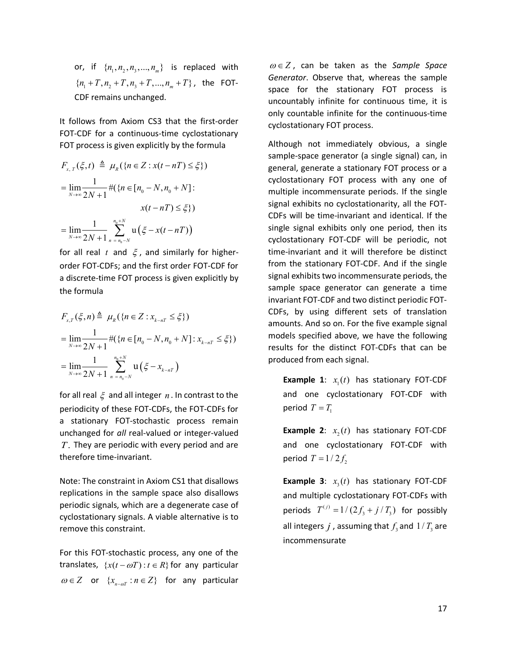or, if  $\{n_1, n_2, n_3, ..., n_m\}$  is replaced with  ${n_1+T, n_2+T, n_3+T, ..., n_m+T}$ , the FOT-CDF remains unchanged.

It follows from Axiom CS3 that the first-order FOT-CDF for a continuous-time cyclostationary FOT process is given explicitly by the formula

$$
F_{x,T}(\xi, t) \triangleq \mu_R(\{n \in Z : x(t - nT) \leq \xi\})
$$
  
= 
$$
\lim_{N \to \infty} \frac{1}{2N + 1} \#(\{n \in [n_0 - N, n_0 + N] : x(t - nT) \leq \xi\})
$$
  
= 
$$
\lim_{N \to \infty} \frac{1}{2N + 1} \sum_{n = n_0 - N}^{n_0 + N} \mathbf{u}(\xi - x(t - nT))
$$

for all real  $t$  and  $\xi$ , and similarly for higherorder FOT-CDFs; and the first order FOT-CDF for a discrete-time FOT process is given explicitly by the formula

$$
F_{x,T}(\xi, n) \triangleq \mu_R(\{n \in \mathbb{Z} : x_{k-nT} \leq \xi\})
$$
  
= 
$$
\lim_{N \to \infty} \frac{1}{2N+1} \#(\{n \in [n_0 - N, n_0 + N] : x_{k-nT} \leq \xi\})
$$
  
= 
$$
\lim_{N \to \infty} \frac{1}{2N+1} \sum_{n=n_0 - N}^{n_0 + N} \mathbf{u}(\xi - x_{k-nT})
$$

for all real ξ and all integer *n* . In contrast to the periodicity of these FOT-CDFs, the FOT-CDFs for a stationary FOT-stochastic process remain unchanged for *all* real-valued or integer-valued *T*. They are periodic with every period and are therefore time-invariant.

Note: The constraint in Axiom CS1 that disallows replications in the sample space also disallows periodic signals, which are a degenerate case of cyclostationary signals. A viable alternative is to remove this constraint.

For this FOT-stochastic process, any one of the translates,  $\{x(t - \omega T): t \in R\}$  for any particular  $\omega \in Z$  or  $\{x_{n-m}: n \in Z\}$  for any particular

 $\omega \in Z$ , can be taken as the *Sample Space Generator*. Observe that, whereas the sample space for the stationary FOT process is uncountably infinite for continuous time, it is only countable infinite for the continuous-time cyclostationary FOT process.

Although not immediately obvious, a single sample-space generator (a single signal) can, in general, generate a stationary FOT process or a cyclostationary FOT process with any one of multiple incommensurate periods. If the single signal exhibits no cyclostationarity, all the FOT-CDFs will be time-invariant and identical. If the single signal exhibits only one period, then its cyclostationary FOT-CDF will be periodic, not time-invariant and it will therefore be distinct from the stationary FOT-CDF. And if the single signal exhibits two incommensurate periods, the sample space generator can generate a time invariant FOT-CDF and two distinct periodic FOT-CDFs, by using different sets of translation amounts. And so on. For the five example signal models specified above, we have the following results for the distinct FOT-CDFs that can be produced from each signal.

**Example 1:**  $x_i(t)$  has stationary FOT-CDF and one cyclostationary FOT-CDF with period  $T = T_1$ 

**Example 2:**  $x_2(t)$  has stationary FOT-CDF and one cyclostationary FOT-CDF with period  $T = 1/2f$ ,

**Example 3**:  $x_3(t)$  has stationary FOT-CDF and multiple cyclostationary FOT-CDFs with periods  $T^{(j)} = 1/(2f_3 + j/T_3)$  for possibly all integers *j*, assuming that  $f<sub>2</sub>$  and  $1/T<sub>3</sub>$  are incommensurate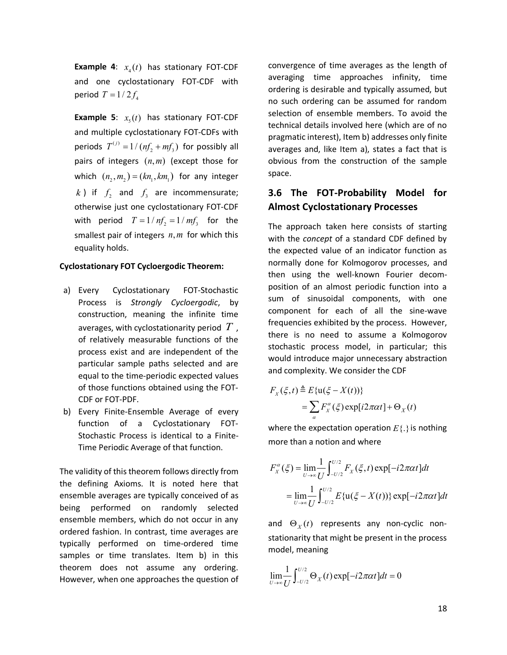**Example 4:**  $x_1(t)$  has stationary FOT-CDF and one cyclostationary FOT-CDF with period  $T = 1/2 f_4$ 

**Example 5**:  $x<sub>s</sub>(t)$  has stationary FOT-CDF and multiple cyclostationary FOT-CDFs with periods  $T^{(j)} = 1/(nf_2 + mf_3)$  for possibly all pairs of integers  $(n, m)$  (except those for which  $(n_2, m_2) = (kn_1, km_1)$  for any integer *k*) if  $f_2$  and  $f_3$  are incommensurate; otherwise just one cyclostationary FOT-CDF with period  $T = 1/ nf_2 = 1/ mf_3$  for the smallest pair of integers *n*, *m* for which this equality holds.

#### **Cyclostationary FOT Cycloergodic Theorem:**

- a) Every Cyclostationary FOT-Stochastic Process is *Strongly Cycloergodic*, by construction, meaning the infinite time averages, with cyclostationarity period *T* , of relatively measurable functions of the process exist and are independent of the particular sample paths selected and are equal to the time-periodic expected values of those functions obtained using the FOT-CDF or FOT-PDF.
- b) Every Finite-Ensemble Average of every function of a Cyclostationary FOT-Stochastic Process is identical to a Finite-Time Periodic Average of that function.

The validity of this theorem follows directly from the defining Axioms. It is noted here that ensemble averages are typically conceived of as being performed on randomly selected ensemble members, which do not occur in any ordered fashion. In contrast, time averages are typically performed on time-ordered time samples or time translates. Item b) in this theorem does not assume any ordering. However, when one approaches the question of

convergence of time averages as the length of averaging time approaches infinity, time ordering is desirable and typically assumed, but no such ordering can be assumed for random selection of ensemble members. To avoid the technical details involved here (which are of no pragmatic interest), Item b) addresses only finite averages and, like Item a), states a fact that is obvious from the construction of the sample space.

# **3.6 The FOT-Probability Model for Almost Cyclostationary Processes**

The approach taken here consists of starting with the *concept* of a standard CDF defined by the expected value of an indicator function as normally done for Kolmogorov processes, and then using the well-known Fourier decomposition of an almost periodic function into a sum of sinusoidal components, with one component for each of all the sine-wave frequencies exhibited by the process. However, there is no need to assume a Kolmogorov stochastic process model, in particular; this would introduce major unnecessary abstraction and complexity. We consider the CDF

$$
F_X(\xi, t) \triangleq E\{\mathbf{u}(\xi - X(t))\}
$$
  
= 
$$
\sum_{\alpha} F_X^{\alpha}(\xi) \exp[i2\pi\alpha t] + \Theta_X(t)
$$

where the expectation operation  $E\{\cdot\}$  is nothing more than a notion and where

$$
F_{X}^{\alpha}(\xi) = \lim_{U \to \infty} \frac{1}{U} \int_{-U/2}^{U/2} F_{X}(\xi, t) \exp[-i2\pi\alpha t] dt
$$
  
= 
$$
\lim_{U \to \infty} \frac{1}{U} \int_{-U/2}^{U/2} E\{u(\xi - X(t))\} \exp[-i2\pi\alpha t] dt
$$

and  $\Theta_X(t)$  represents any non-cyclic nonstationarity that might be present in the process model, meaning

$$
\lim_{U\to\infty}\frac{1}{U}\int_{-U/2}^{U/2}\Theta_X(t)\exp[-i2\pi\alpha t]dt=0
$$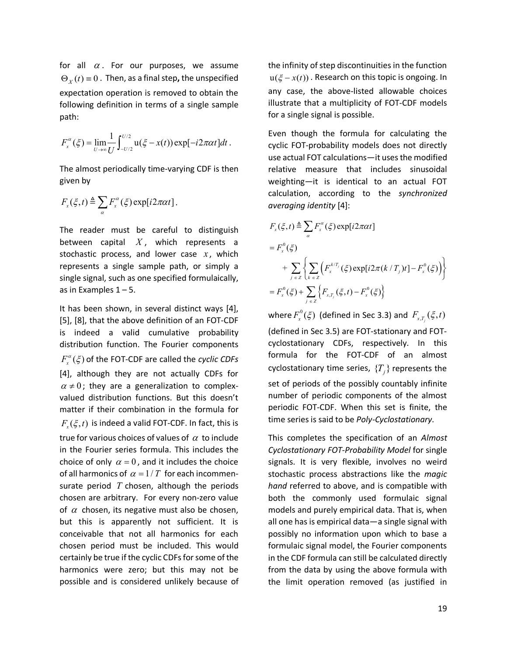for all  $\alpha$ . For our purposes, we assume  $\Theta_{\rm v}(t) = 0$ . Then, as a final step, the unspecified expectation operation is removed to obtain the following definition in terms of a single sample path:

$$
F_x^{\alpha}(\xi) = \lim_{U \to \infty} \frac{1}{U} \int_{-U/2}^{U/2} \mathbf{u}(\xi - x(t)) \exp[-i2\pi\alpha t] dt.
$$

The almost periodically time-varying CDF is then given by

$$
F_{x}(\xi,t)\triangleq\sum_{\alpha}F_{x}^{\alpha}(\xi)\exp[i2\pi\alpha t].
$$

The reader must be careful to distinguish between capital *X* , which represents a stochastic process, and lower case  $x$ , which represents a single sample path, or simply a single signal, such as one specified formulaically, as in Examples  $1 - 5$ .

It has been shown, in several distinct ways [4], [5], [8], that the above definition of an FOT-CDF is indeed a valid cumulative probability distribution function. The Fourier components  $F_{x}^{\alpha}(\xi)$  of the FOT-CDF are called the *cyclic CDFs* [4], although they are not actually CDFs for  $\alpha \neq 0$ ; they are a generalization to complexvalued distribution functions. But this doesn't matter if their combination in the formula for  $F_{\alpha}(\xi, t)$  is indeed a valid FOT-CDF. In fact, this is true for various choices of values of  $\alpha$  to include in the Fourier series formula. This includes the choice of only  $\alpha = 0$ , and it includes the choice of all harmonics of  $\alpha = 1/T$  for each incommensurate period *T* chosen, although the periods chosen are arbitrary. For every non-zero value of  $\alpha$  chosen, its negative must also be chosen, but this is apparently not sufficient. It is conceivable that not all harmonics for each chosen period must be included. This would certainly be true if the cyclic CDFs for some of the harmonics were zero; but this may not be possible and is considered unlikely because of the infinity of step discontinuities in the function  $u(\xi - x(t))$ . Research on this topic is ongoing. In any case, the above-listed allowable choices illustrate that a multiplicity of FOT-CDF models for a single signal is possible.

Even though the formula for calculating the cyclic FOT-probability models does not directly use actual FOT calculations—it uses the modified relative measure that includes sinusoidal weighting—it is identical to an actual FOT calculation, according to the *synchronized averaging identity* [4]:

$$
F_x(\xi, t) \triangleq \sum_{\alpha} F_x^{\alpha}(\xi) \exp[i2\pi\alpha t]
$$
  
=  $F_x^0(\xi)$   
+  $\sum_{j \in Z} \left\{ \sum_{k \in Z} \left( F_x^{k/T_j}(\xi) \exp[i2\pi(k/T_j)t] - F_x^0(\xi) \right) \right\}$   
=  $F_x^0(\xi) + \sum_{j \in Z} \left\{ F_{x,T_j}(\xi, t) - F_x^0(\xi) \right\}$ 

where  $F_x^0(\xi)$  (defined in Sec 3.3) and  $F_{x,T_{j}}(\xi,t)$ (defined in Sec 3.5) are FOT-stationary and FOTcyclostationary CDFs, respectively. In this formula for the FOT-CDF of an almost cyclostationary time series,  $\{T_i\}$  represents the set of periods of the possibly countably infinite number of periodic components of the almost periodic FOT-CDF. When this set is finite, the time series is said to be *Poly-Cyclostationary*.

This completes the specification of an *Almost Cyclostationary FOT-Probability Model* for single signals. It is very flexible, involves no weird stochastic process abstractions like the *magic hand* referred to above, and is compatible with both the commonly used formulaic signal models and purely empirical data. That is, when all one has is empirical data—a single signal with possibly no information upon which to base a formulaic signal model, the Fourier components in the CDF formula can still be calculated directly from the data by using the above formula with the limit operation removed (as justified in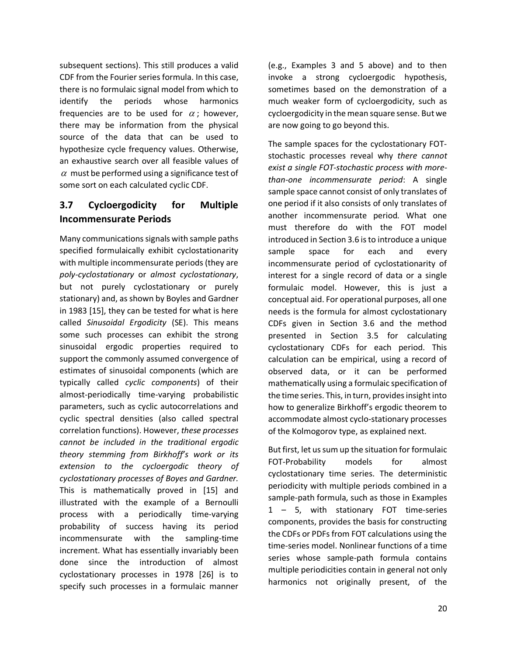subsequent sections). This still produces a valid CDF from the Fourier series formula. In this case, there is no formulaic signal model from which to identify the periods whose harmonics frequencies are to be used for  $\alpha$ ; however, there may be information from the physical source of the data that can be used to hypothesize cycle frequency values. Otherwise, an exhaustive search over all feasible values of  $\alpha$  must be performed using a significance test of some sort on each calculated cyclic CDF.

# **3.7 Cycloergodicity for Multiple Incommensurate Periods**

Many communications signals with sample paths specified formulaically exhibit cyclostationarity with multiple incommensurate periods (they are *poly-cyclostationary* or *almost cyclostationary*, but not purely cyclostationary or purely stationary) and, as shown by Boyles and Gardner in 1983 [15], they can be tested for what is here called *Sinusoidal Ergodicity* (SE). This means some such processes can exhibit the strong sinusoidal ergodic properties required to support the commonly assumed convergence of estimates of sinusoidal components (which are typically called *cyclic components*) of their almost-periodically time-varying probabilistic parameters, such as cyclic autocorrelations and cyclic spectral densities (also called spectral correlation functions). However, *these processes cannot be included in the traditional ergodic theory stemming from Birkhoff's work or its extension to the cycloergodic theory of cyclostationary processes of Boyes and Gardner.*  This is mathematically proved in [15] and illustrated with the example of a Bernoulli process with a periodically time-varying probability of success having its period incommensurate with the sampling-time increment. What has essentially invariably been done since the introduction of almost cyclostationary processes in 1978 [26] is to specify such processes in a formulaic manner

(e.g., Examples 3 and 5 above) and to then invoke a strong cycloergodic hypothesis, sometimes based on the demonstration of a much weaker form of cycloergodicity, such as cycloergodicity in the mean square sense. But we are now going to go beyond this.

The sample spaces for the cyclostationary FOTstochastic processes reveal why *there cannot exist a single FOT-stochastic process with morethan-one incommensurate period*: A single sample space cannot consist of only translates of one period if it also consists of only translates of another incommensurate period*.* What one must therefore do with the FOT model introduced in Section 3.6 is to introduce a unique sample space for each and every incommensurate period of cyclostationarity of interest for a single record of data or a single formulaic model. However, this is just a conceptual aid. For operational purposes, all one needs is the formula for almost cyclostationary CDFs given in Section 3.6 and the method presented in Section 3.5 for calculating cyclostationary CDFs for each period. This calculation can be empirical, using a record of observed data, or it can be performed mathematically using a formulaic specification of the time series. This, in turn, provides insight into how to generalize Birkhoff's ergodic theorem to accommodate almost cyclo-stationary processes of the Kolmogorov type, as explained next.

But first, let us sum up the situation for formulaic FOT-Probability models for almost cyclostationary time series. The deterministic periodicity with multiple periods combined in a sample-path formula, such as those in Examples 1 – 5, with stationary FOT time-series components, provides the basis for constructing the CDFs or PDFs from FOT calculations using the time-series model. Nonlinear functions of a time series whose sample-path formula contains multiple periodicities contain in general not only harmonics not originally present, of the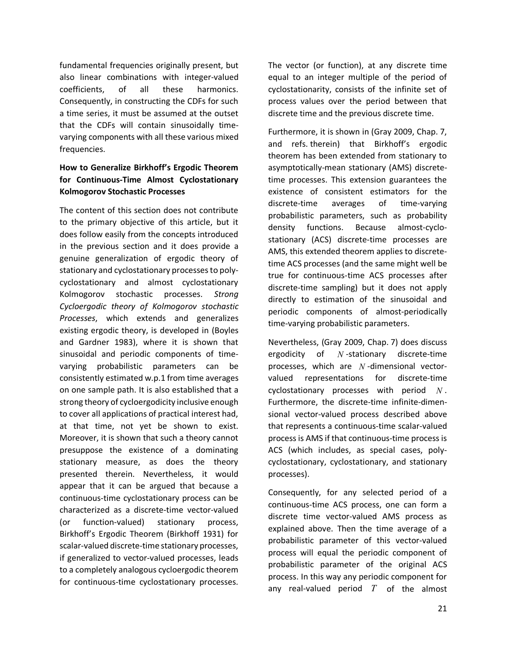fundamental frequencies originally present, but also linear combinations with integer-valued coefficients, of all these harmonics. Consequently, in constructing the CDFs for such a time series, it must be assumed at the outset that the CDFs will contain sinusoidally timevarying components with all these various mixed frequencies.

### **How to Generalize Birkhoff's Ergodic Theorem for Continuous-Time Almost Cyclostationary Kolmogorov Stochastic Processes**

The content of this section does not contribute to the primary objective of this article, but it does follow easily from the concepts introduced in the previous section and it does provide a genuine generalization of ergodic theory of stationary and cyclostationary processes to polycyclostationary and almost cyclostationary Kolmogorov stochastic processes. *Strong Cycloergodic theory of Kolmogorov stochastic Processes*, which extends and generalizes existing ergodic theory, is developed in (Boyles and Gardner 1983), where it is shown that sinusoidal and periodic components of timevarying probabilistic parameters can be consistently estimated w.p.1 from time averages on one sample path. It is also established that a strong theory of cycloergodicity inclusive enough to cover all applications of practical interest had, at that time, not yet be shown to exist. Moreover, it is shown that such a theory cannot presuppose the existence of a dominating stationary measure, as does the theory presented therein. Nevertheless, it would appear that it can be argued that because a continuous-time cyclostationary process can be characterized as a discrete-time vector-valued (or function-valued) stationary process, Birkhoff's Ergodic Theorem (Birkhoff 1931) for scalar-valued discrete-time stationary processes, if generalized to vector-valued processes, leads to a completely analogous cycloergodic theorem for continuous-time cyclostationary processes.

The vector (or function), at any discrete time equal to an integer multiple of the period of cyclostationarity, consists of the infinite set of process values over the period between that discrete time and the previous discrete time.

Furthermore, it is shown in (Gray 2009, Chap. 7, and refs. therein) that Birkhoff's ergodic theorem has been extended from stationary to asymptotically-mean stationary (AMS) discretetime processes. This extension guarantees the existence of consistent estimators for the discrete-time averages of time-varying probabilistic parameters, such as probability density functions. Because almost-cyclostationary (ACS) discrete-time processes are AMS, this extended theorem applies to discretetime ACS processes (and the same might well be true for continuous-time ACS processes after discrete-time sampling) but it does not apply directly to estimation of the sinusoidal and periodic components of almost-periodically time-varying probabilistic parameters.

Nevertheless, (Gray 2009, Chap. 7) does discuss ergodicity of *N* -stationary discrete-time processes, which are *N* -dimensional vectorvalued representations for discrete-time cyclostationary processes with period *N* . Furthermore, the discrete-time infinite-dimensional vector-valued process described above that represents a continuous-time scalar-valued process is AMS if that continuous-time process is ACS (which includes, as special cases, polycyclostationary, cyclostationary, and stationary processes).

Consequently, for any selected period of a continuous-time ACS process, one can form a discrete time vector-valued AMS process as explained above. Then the time average of a probabilistic parameter of this vector-valued process will equal the periodic component of probabilistic parameter of the original ACS process. In this way any periodic component for any real-valued period *T* of the almost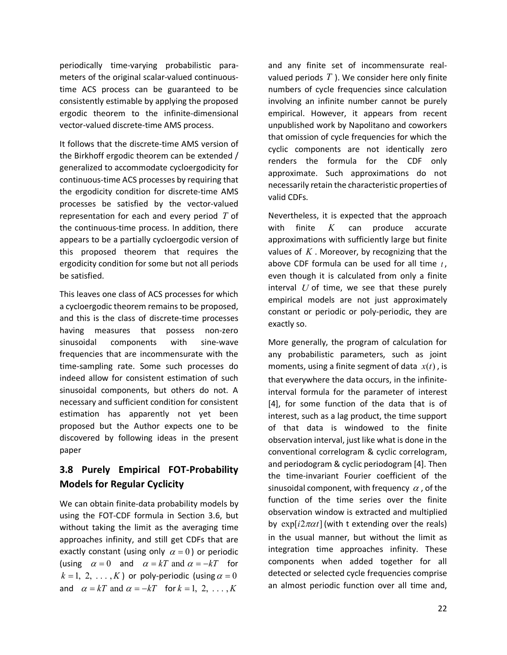periodically time-varying probabilistic parameters of the original scalar-valued continuoustime ACS process can be guaranteed to be consistently estimable by applying the proposed ergodic theorem to the infinite-dimensional vector-valued discrete-time AMS process.

It follows that the discrete-time AMS version of the Birkhoff ergodic theorem can be extended / generalized to accommodate cycloergodicity for continuous-time ACS processes by requiring that the ergodicity condition for discrete-time AMS processes be satisfied by the vector-valued representation for each and every period *T* of the continuous-time process. In addition, there appears to be a partially cycloergodic version of this proposed theorem that requires the ergodicity condition for some but not all periods be satisfied.

This leaves one class of ACS processes for which a cycloergodic theorem remains to be proposed, and this is the class of discrete-time processes having measures that possess non-zero sinusoidal components with sine-wave frequencies that are incommensurate with the time-sampling rate. Some such processes do indeed allow for consistent estimation of such sinusoidal components, but others do not. A necessary and sufficient condition for consistent estimation has apparently not yet been proposed but the Author expects one to be discovered by following ideas in the present paper

# **3.8 Purely Empirical FOT-Probability Models for Regular Cyclicity**

We can obtain finite-data probability models by using the FOT-CDF formula in Section 3.6, but without taking the limit as the averaging time approaches infinity, and still get CDFs that are exactly constant (using only  $\alpha = 0$ ) or periodic (using  $\alpha = 0$  and  $\alpha = kT$  and  $\alpha = -kT$  for  $k = 1, 2, \ldots, K$ ) or poly-periodic (using  $\alpha = 0$ and  $\alpha = kT$  and  $\alpha = -kT$  for  $k = 1, 2, \dots, K$ 

and any finite set of incommensurate realvalued periods *T* ). We consider here only finite numbers of cycle frequencies since calculation involving an infinite number cannot be purely empirical. However, it appears from recent unpublished work by Napolitano and coworkers that omission of cycle frequencies for which the cyclic components are not identically zero renders the formula for the CDF only approximate. Such approximations do not necessarily retain the characteristic properties of valid CDFs.

Nevertheless, it is expected that the approach with finite *K* can produce accurate approximations with sufficiently large but finite values of *K* . Moreover, by recognizing that the above CDF formula can be used for all time *t* , even though it is calculated from only a finite interval *U* of time, we see that these purely empirical models are not just approximately constant or periodic or poly-periodic, they are exactly so.

More generally, the program of calculation for any probabilistic parameters, such as joint moments, using a finite segment of data  $x(t)$ , is that everywhere the data occurs, in the infiniteinterval formula for the parameter of interest [4], for some function of the data that is of interest, such as a lag product, the time support of that data is windowed to the finite observation interval, just like what is done in the conventional correlogram & cyclic correlogram, and periodogram & cyclic periodogram [4]. Then the time-invariant Fourier coefficient of the sinusoidal component, with frequency  $\alpha$ , of the function of the time series over the finite observation window is extracted and multiplied by  $\exp[i2\pi \alpha t]$  (with t extending over the reals) in the usual manner, but without the limit as integration time approaches infinity. These components when added together for all detected or selected cycle frequencies comprise an almost periodic function over all time and,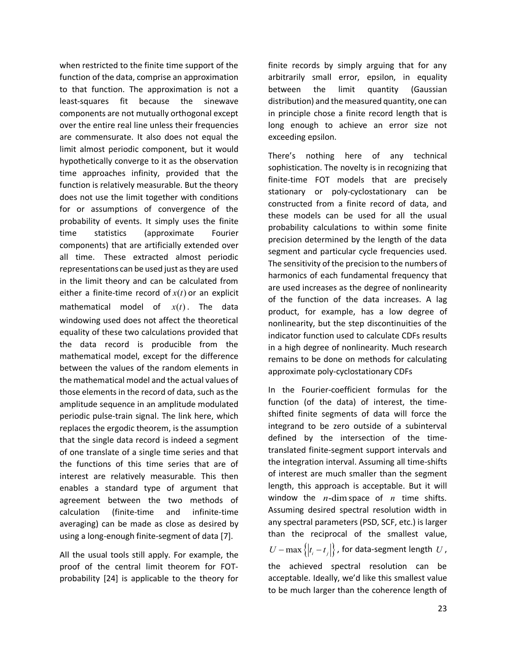when restricted to the finite time support of the function of the data, comprise an approximation to that function. The approximation is not a least-squares fit because the sinewave components are not mutually orthogonal except over the entire real line unless their frequencies are commensurate. It also does not equal the limit almost periodic component, but it would hypothetically converge to it as the observation time approaches infinity, provided that the function is relatively measurable. But the theory does not use the limit together with conditions for or assumptions of convergence of the probability of events. It simply uses the finite time statistics (approximate Fourier components) that are artificially extended over all time. These extracted almost periodic representations can be used just as they are used in the limit theory and can be calculated from either a finite-time record of  $x(t)$  or an explicit mathematical model of  $x(t)$ . The data windowing used does not affect the theoretical equality of these two calculations provided that the data record is producible from the mathematical model, except for the difference between the values of the random elements in the mathematical model and the actual values of those elements in the record of data, such as the amplitude sequence in an amplitude modulated periodic pulse-train signal. The link here, which replaces the ergodic theorem, is the assumption that the single data record is indeed a segment of one translate of a single time series and that the functions of this time series that are of interest are relatively measurable. This then enables a standard type of argument that agreement between the two methods of calculation (finite-time and infinite-time averaging) can be made as close as desired by using a long-enough finite-segment of data [7].

All the usual tools still apply. For example, the proof of the central limit theorem for FOTprobability [24] is applicable to the theory for

finite records by simply arguing that for any arbitrarily small error, epsilon, in equality between the limit quantity (Gaussian distribution) and the measured quantity, one can in principle chose a finite record length that is long enough to achieve an error size not exceeding epsilon.

There's nothing here of any technical sophistication. The novelty is in recognizing that finite-time FOT models that are precisely stationary or poly-cyclostationary can be constructed from a finite record of data, and these models can be used for all the usual probability calculations to within some finite precision determined by the length of the data segment and particular cycle frequencies used. The sensitivity of the precision to the numbers of harmonics of each fundamental frequency that are used increases as the degree of nonlinearity of the function of the data increases. A lag product, for example, has a low degree of nonlinearity, but the step discontinuities of the indicator function used to calculate CDFs results in a high degree of nonlinearity. Much research remains to be done on methods for calculating approximate poly-cyclostationary CDFs

In the Fourier-coefficient formulas for the function (of the data) of interest, the timeshifted finite segments of data will force the integrand to be zero outside of a subinterval defined by the intersection of the timetranslated finite-segment support intervals and the integration interval. Assuming all time-shifts of interest are much smaller than the segment length, this approach is acceptable. But it will window the *n*-dimspace of *n* time shifts. Assuming desired spectral resolution width in any spectral parameters (PSD, SCF, etc.) is larger than the reciprocal of the smallest value,  $U - \max\left\{ |t_i - t_j| \right\}$ , for data-segment length *U*, the achieved spectral resolution can be acceptable. Ideally, we'd like this smallest value to be much larger than the coherence length of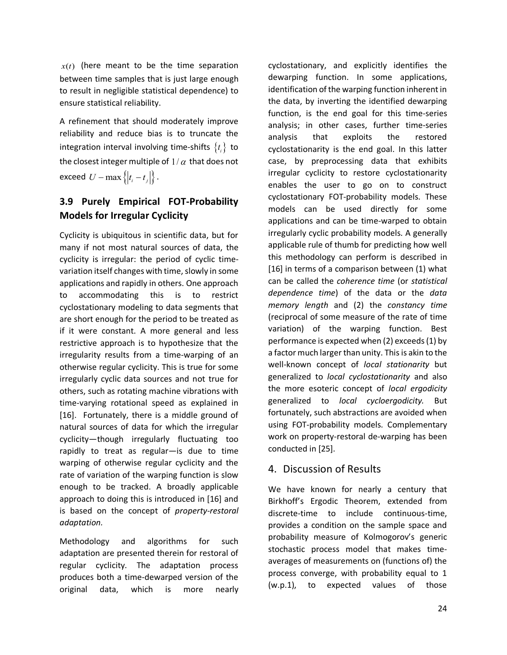$x(t)$  (here meant to be the time separation between time samples that is just large enough to result in negligible statistical dependence) to ensure statistical reliability.

A refinement that should moderately improve reliability and reduce bias is to truncate the integration interval involving time-shifts  $\{t_i\}$  to the closest integer multiple of  $1/\alpha$  that does not exceed  $U - \max\{|t_i - t_j|\}$ .

# **3.9 Purely Empirical FOT-Probability Models for Irregular Cyclicity**

Cyclicity is ubiquitous in scientific data, but for many if not most natural sources of data, the cyclicity is irregular: the period of cyclic timevariation itself changes with time, slowly in some applications and rapidly in others. One approach to accommodating this is to restrict cyclostationary modeling to data segments that are short enough for the period to be treated as if it were constant. A more general and less restrictive approach is to hypothesize that the irregularity results from a time-warping of an otherwise regular cyclicity. This is true for some irregularly cyclic data sources and not true for others, such as rotating machine vibrations with time-varying rotational speed as explained in [16]. Fortunately, there is a middle ground of natural sources of data for which the irregular cyclicity—though irregularly fluctuating too rapidly to treat as regular—is due to time warping of otherwise regular cyclicity and the rate of variation of the warping function is slow enough to be tracked. A broadly applicable approach to doing this is introduced in [16] and is based on the concept of *property-restoral adaptation.* 

Methodology and algorithms for such adaptation are presented therein for restoral of regular cyclicity. The adaptation process produces both a time-dewarped version of the original data, which is more nearly cyclostationary, and explicitly identifies the dewarping function. In some applications, identification of the warping function inherent in the data, by inverting the identified dewarping function, is the end goal for this time-series analysis; in other cases, further time-series analysis that exploits the restored cyclostationarity is the end goal. In this latter case, by preprocessing data that exhibits irregular cyclicity to restore cyclostationarity enables the user to go on to construct cyclostationary FOT-probability models. These models can be used directly for some applications and can be time-warped to obtain irregularly cyclic probability models. A generally applicable rule of thumb for predicting how well this methodology can perform is described in [16] in terms of a comparison between (1) what can be called the *coherence time* (or *statistical dependence time*) of the data or the *data memory length* and (2) the *constancy time* (reciprocal of some measure of the rate of time variation) of the warping function. Best performance is expected when (2) exceeds (1) by a factor much larger than unity. This is akin to the well-known concept of *local stationarity* but generalized to *local cyclostationarity* and also the more esoteric concept of *local ergodicity* generalized to *local cycloergodicity.* But fortunately, such abstractions are avoided when using FOT-probability models. Complementary work on property-restoral de-warping has been conducted in [25].

# 4. Discussion of Results

We have known for nearly a century that Birkhoff's Ergodic Theorem, extended from discrete-time to include continuous-time, provides a condition on the sample space and probability measure of Kolmogorov's generic stochastic process model that makes timeaverages of measurements on (functions of) the process converge, with probability equal to 1 (w.p.1), to expected values of those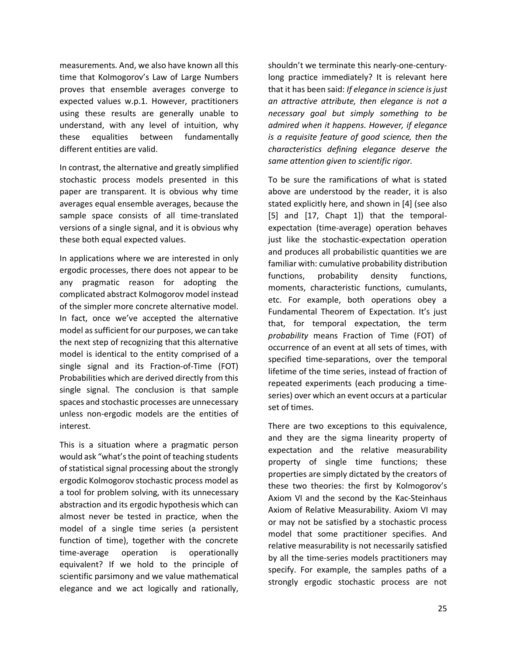measurements. And, we also have known all this time that Kolmogorov's Law of Large Numbers proves that ensemble averages converge to expected values w.p.1. However, practitioners using these results are generally unable to understand, with any level of intuition, why these equalities between fundamentally different entities are valid.

In contrast, the alternative and greatly simplified stochastic process models presented in this paper are transparent. It is obvious why time averages equal ensemble averages, because the sample space consists of all time-translated versions of a single signal, and it is obvious why these both equal expected values.

In applications where we are interested in only ergodic processes, there does not appear to be any pragmatic reason for adopting the complicated abstract Kolmogorov model instead of the simpler more concrete alternative model. In fact, once we've accepted the alternative model as sufficient for our purposes, we can take the next step of recognizing that this alternative model is identical to the entity comprised of a single signal and its Fraction-of-Time (FOT) Probabilities which are derived directly from this single signal. The conclusion is that sample spaces and stochastic processes are unnecessary unless non-ergodic models are the entities of interest.

This is a situation where a pragmatic person would ask "what's the point of teaching students of statistical signal processing about the strongly ergodic Kolmogorov stochastic process model as a tool for problem solving, with its unnecessary abstraction and its ergodic hypothesis which can almost never be tested in practice, when the model of a single time series (a persistent function of time), together with the concrete time-average operation is operationally equivalent? If we hold to the principle of scientific parsimony and we value mathematical elegance and we act logically and rationally,

shouldn't we terminate this nearly-one-centurylong practice immediately? It is relevant here that it has been said: *If elegance in science is just an attractive attribute, then elegance is not a necessary goal but simply something to be admired when it happens. However, if elegance is a requisite feature of good science, then the characteristics defining elegance deserve the same attention given to scientific rigor.*

To be sure the ramifications of what is stated above are understood by the reader, it is also stated explicitly here, and shown in [4] (see also [5] and [17, Chapt 1]) that the temporalexpectation (time-average) operation behaves just like the stochastic-expectation operation and produces all probabilistic quantities we are familiar with: cumulative probability distribution functions, probability density functions, moments, characteristic functions, cumulants, etc. For example, both operations obey a Fundamental Theorem of Expectation. It's just that, for temporal expectation, the term *probability* means Fraction of Time (FOT) of occurrence of an event at all sets of times, with specified time-separations, over the temporal lifetime of the time series, instead of fraction of repeated experiments (each producing a timeseries) over which an event occurs at a particular set of times.

There are two exceptions to this equivalence, and they are the sigma linearity property of expectation and the relative measurability property of single time functions; these properties are simply dictated by the creators of these two theories: the first by Kolmogorov's Axiom VI and the second by the Kac-Steinhaus Axiom of Relative Measurability. Axiom VI may or may not be satisfied by a stochastic process model that some practitioner specifies. And relative measurability is not necessarily satisfied by all the time-series models practitioners may specify. For example, the samples paths of a strongly ergodic stochastic process are not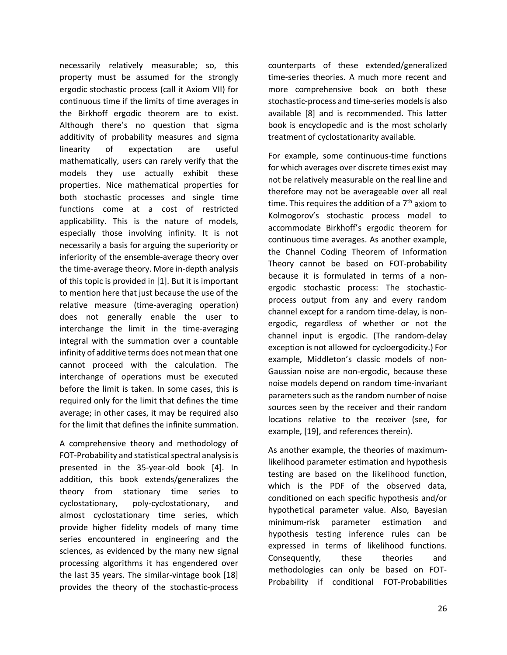necessarily relatively measurable; so, this property must be assumed for the strongly ergodic stochastic process (call it Axiom VII) for continuous time if the limits of time averages in the Birkhoff ergodic theorem are to exist. Although there's no question that sigma additivity of probability measures and sigma linearity of expectation are useful mathematically, users can rarely verify that the models they use actually exhibit these properties. Nice mathematical properties for both stochastic processes and single time functions come at a cost of restricted applicability. This is the nature of models, especially those involving infinity. It is not necessarily a basis for arguing the superiority or inferiority of the ensemble-average theory over the time-average theory. More in-depth analysis of this topic is provided in [1]. But it is important to mention here that just because the use of the relative measure (time-averaging operation) does not generally enable the user to interchange the limit in the time-averaging integral with the summation over a countable infinity of additive terms does not mean that one cannot proceed with the calculation. The interchange of operations must be executed before the limit is taken. In some cases, this is required only for the limit that defines the time average; in other cases, it may be required also for the limit that defines the infinite summation.

A comprehensive theory and methodology of FOT-Probability and statistical spectral analysis is presented in the 35-year-old book [4]. In addition, this book extends/generalizes the theory from stationary time series to cyclostationary, poly-cyclostationary, and almost cyclostationary time series, which provide higher fidelity models of many time series encountered in engineering and the sciences, as evidenced by the many new signal processing algorithms it has engendered over the last 35 years. The similar-vintage book [18] provides the theory of the stochastic-process

counterparts of these extended/generalized time-series theories. A much more recent and more comprehensive book on both these stochastic-process and time-series models is also available [8] and is recommended. This latter book is encyclopedic and is the most scholarly treatment of cyclostationarity available.

For example, some continuous-time functions for which averages over discrete times exist may not be relatively measurable on the real line and therefore may not be averageable over all real time. This requires the addition of a  $7<sup>th</sup>$  axiom to Kolmogorov's stochastic process model to accommodate Birkhoff's ergodic theorem for continuous time averages. As another example, the Channel Coding Theorem of Information Theory cannot be based on FOT-probability because it is formulated in terms of a nonergodic stochastic process: The stochasticprocess output from any and every random channel except for a random time-delay, is nonergodic, regardless of whether or not the channel input is ergodic. (The random-delay exception is not allowed for cycloergodicity.) For example, Middleton's classic models of non-Gaussian noise are non-ergodic, because these noise models depend on random time-invariant parameters such as the random number of noise sources seen by the receiver and their random locations relative to the receiver (see, for example, [19], and references therein).

As another example, the theories of maximumlikelihood parameter estimation and hypothesis testing are based on the likelihood function, which is the PDF of the observed data, conditioned on each specific hypothesis and/or hypothetical parameter value. Also, Bayesian minimum-risk parameter estimation and hypothesis testing inference rules can be expressed in terms of likelihood functions. Consequently, these theories and methodologies can only be based on FOT-Probability if conditional FOT-Probabilities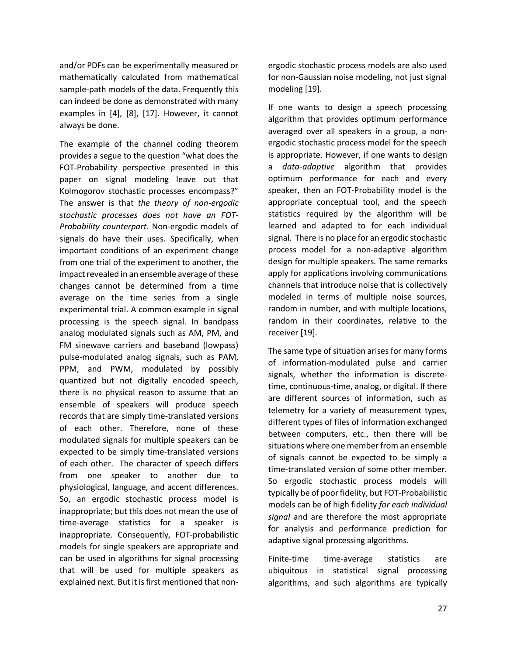and/or PDFs can be experimentally measured or mathematically calculated from mathematical sample-path models of the data. Frequently this can indeed be done as demonstrated with many examples in [4], [8], [17]. However, it cannot always be done.

The example of the channel coding theorem provides a segue to the question "what does the FOT-Probability perspective presented in this paper on signal modeling leave out that Kolmogorov stochastic processes encompass?" The answer is that *the theory of non-ergodic stochastic processes does not have an FOT-Probability counterpart.* Non-ergodic models of signals do have their uses. Specifically, when important conditions of an experiment change from one trial of the experiment to another, the impact revealed in an ensemble average of these changes cannot be determined from a time average on the time series from a single experimental trial. A common example in signal processing is the speech signal. In bandpass analog modulated signals such as AM, PM, and FM sinewave carriers and baseband (lowpass) pulse-modulated analog signals, such as PAM, PPM, and PWM, modulated by possibly quantized but not digitally encoded speech, there is no physical reason to assume that an ensemble of speakers will produce speech records that are simply time-translated versions of each other. Therefore, none of these modulated signals for multiple speakers can be expected to be simply time-translated versions of each other. The character of speech differs from one speaker to another due to physiological, language, and accent differences. So, an ergodic stochastic process model is inappropriate; but this does not mean the use of time-average statistics for a speaker is inappropriate. Consequently, FOT-probabilistic models for single speakers are appropriate and can be used in algorithms for signal processing that will be used for multiple speakers as explained next. But it is first mentioned that nonergodic stochastic process models are also used for non-Gaussian noise modeling, not just signal modeling [19].

If one wants to design a speech processing algorithm that provides optimum performance averaged over all speakers in a group, a nonergodic stochastic process model for the speech is appropriate. However, if one wants to design a *data-adaptive* algorithm that provides optimum performance for each and every speaker, then an FOT-Probability model is the appropriate conceptual tool, and the speech statistics required by the algorithm will be learned and adapted to for each individual signal. There is no place for an ergodic stochastic process model for a non-adaptive algorithm design for multiple speakers. The same remarks apply for applications involving communications channels that introduce noise that is collectively modeled in terms of multiple noise sources, random in number, and with multiple locations, random in their coordinates, relative to the receiver [19].

The same type of situation arises for many forms of information-modulated pulse and carrier signals, whether the information is discretetime, continuous-time, analog, or digital. If there are different sources of information, such as telemetry for a variety of measurement types, different types of files of information exchanged between computers, etc., then there will be situations where one member from an ensemble of signals cannot be expected to be simply a time-translated version of some other member. So ergodic stochastic process models will typically be of poor fidelity, but FOT-Probabilistic models can be of high fidelity *for each individual signal* and are therefore the most appropriate for analysis and performance prediction for adaptive signal processing algorithms.

Finite-time time-average statistics are ubiquitous in statistical signal processing algorithms, and such algorithms are typically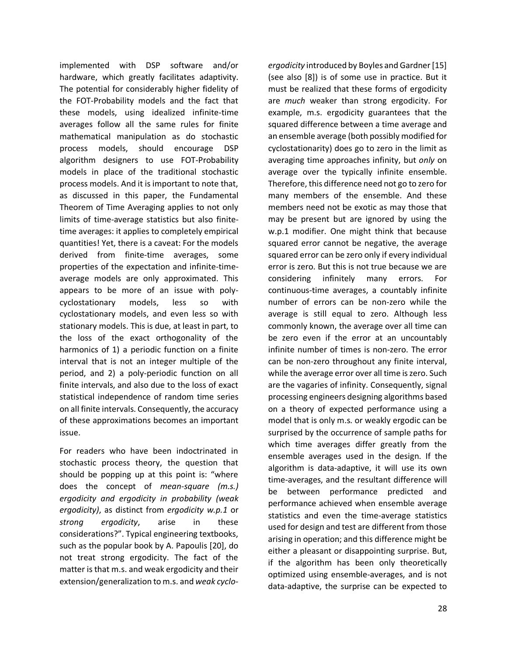implemented with DSP software and/or hardware, which greatly facilitates adaptivity. The potential for considerably higher fidelity of the FOT-Probability models and the fact that these models, using idealized infinite-time averages follow all the same rules for finite mathematical manipulation as do stochastic process models, should encourage DSP algorithm designers to use FOT-Probability models in place of the traditional stochastic process models. And it is important to note that, as discussed in this paper, the Fundamental Theorem of Time Averaging applies to not only limits of time-average statistics but also finitetime averages: it applies to completely empirical quantities! Yet, there is a caveat: For the models derived from finite-time averages, some properties of the expectation and infinite-timeaverage models are only approximated. This appears to be more of an issue with polycyclostationary models, less so with cyclostationary models, and even less so with stationary models. This is due, at least in part, to the loss of the exact orthogonality of the harmonics of 1) a periodic function on a finite interval that is not an integer multiple of the period, and 2) a poly-periodic function on all finite intervals, and also due to the loss of exact statistical independence of random time series on all finite intervals. Consequently, the accuracy of these approximations becomes an important issue.

For readers who have been indoctrinated in stochastic process theory, the question that should be popping up at this point is: "where does the concept of *mean-square (m.s.) ergodicity and ergodicity in probability (weak ergodicity)*, as distinct from *ergodicity w.p.1* or *strong ergodicity*, arise in these considerations?". Typical engineering textbooks, such as the popular book by A. Papoulis [20], do not treat strong ergodicity. The fact of the matter is that m.s. and weak ergodicity and their extension/generalization to m.s. and *weak cyclo-*

*ergodicity* introduced by Boyles and Gardner [15] (see also [8]) is of some use in practice. But it must be realized that these forms of ergodicity are *much* weaker than strong ergodicity. For example, m.s. ergodicity guarantees that the squared difference between a time average and an ensemble average (both possibly modified for cyclostationarity) does go to zero in the limit as averaging time approaches infinity, but *only* on average over the typically infinite ensemble. Therefore, this difference need not go to zero for many members of the ensemble. And these members need not be exotic as may those that may be present but are ignored by using the w.p.1 modifier. One might think that because squared error cannot be negative, the average squared error can be zero only if every individual error is zero. But this is not true because we are considering infinitely many errors. For continuous-time averages, a countably infinite number of errors can be non-zero while the average is still equal to zero. Although less commonly known, the average over all time can be zero even if the error at an uncountably infinite number of times is non-zero. The error can be non-zero throughout any finite interval, while the average error over all time is zero. Such are the vagaries of infinity. Consequently, signal processing engineers designing algorithms based on a theory of expected performance using a model that is only m.s. or weakly ergodic can be surprised by the occurrence of sample paths for which time averages differ greatly from the ensemble averages used in the design. If the algorithm is data-adaptive, it will use its own time-averages, and the resultant difference will be between performance predicted and performance achieved when ensemble average statistics and even the time-average statistics used for design and test are different from those arising in operation; and this difference might be either a pleasant or disappointing surprise. But, if the algorithm has been only theoretically optimized using ensemble-averages, and is not data-adaptive, the surprise can be expected to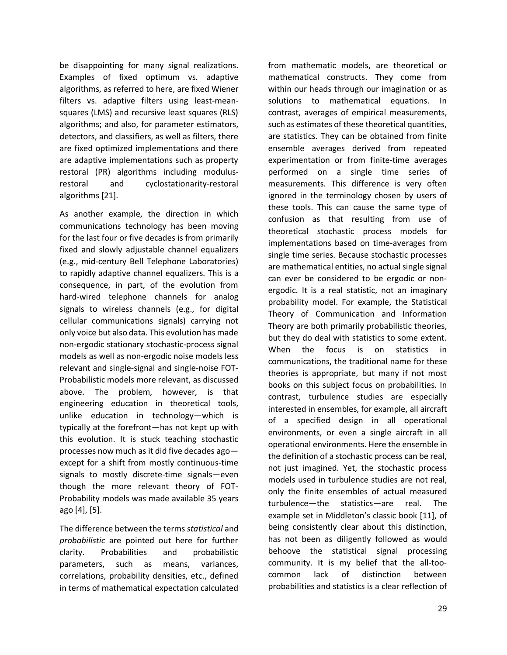be disappointing for many signal realizations. Examples of fixed optimum vs. adaptive algorithms, as referred to here, are fixed Wiener filters vs. adaptive filters using least-meansquares (LMS) and recursive least squares (RLS) algorithms; and also, for parameter estimators, detectors, and classifiers, as well as filters, there are fixed optimized implementations and there are adaptive implementations such as property restoral (PR) algorithms including modulusrestoral and cyclostationarity-restoral algorithms [21].

As another example, the direction in which communications technology has been moving for the last four or five decades is from primarily fixed and slowly adjustable channel equalizers (e.g., mid-century Bell Telephone Laboratories) to rapidly adaptive channel equalizers. This is a consequence, in part, of the evolution from hard-wired telephone channels for analog signals to wireless channels (e.g., for digital cellular communications signals) carrying not only voice but also data. This evolution has made non-ergodic stationary stochastic-process signal models as well as non-ergodic noise models less relevant and single-signal and single-noise FOT-Probabilistic models more relevant, as discussed above. The problem, however, is that engineering education in theoretical tools, unlike education in technology—which is typically at the forefront—has not kept up with this evolution. It is stuck teaching stochastic processes now much as it did five decades ago except for a shift from mostly continuous-time signals to mostly discrete-time signals—even though the more relevant theory of FOT-Probability models was made available 35 years ago [4], [5].

The difference between the terms *statistical* and *probabilistic* are pointed out here for further clarity. Probabilities and probabilistic parameters, such as means, variances, correlations, probability densities, etc., defined in terms of mathematical expectation calculated

from mathematic models, are theoretical or mathematical constructs. They come from within our heads through our imagination or as solutions to mathematical equations. In contrast, averages of empirical measurements, such as estimates of these theoretical quantities, are statistics. They can be obtained from finite ensemble averages derived from repeated experimentation or from finite-time averages performed on a single time series of measurements. This difference is very often ignored in the terminology chosen by users of these tools. This can cause the same type of confusion as that resulting from use of theoretical stochastic process models for implementations based on time-averages from single time series. Because stochastic processes are mathematical entities, no actual single signal can ever be considered to be ergodic or nonergodic. It is a real statistic, not an imaginary probability model. For example, the Statistical Theory of Communication and Information Theory are both primarily probabilistic theories, but they do deal with statistics to some extent. When the focus is on statistics in communications, the traditional name for these theories is appropriate, but many if not most books on this subject focus on probabilities. In contrast, turbulence studies are especially interested in ensembles, for example, all aircraft of a specified design in all operational environments, or even a single aircraft in all operational environments. Here the ensemble in the definition of a stochastic process can be real, not just imagined. Yet, the stochastic process models used in turbulence studies are not real, only the finite ensembles of actual measured turbulence—the statistics—are real. The example set in Middleton's classic book [11], of being consistently clear about this distinction, has not been as diligently followed as would behoove the statistical signal processing community. It is my belief that the all-toocommon lack of distinction between probabilities and statistics is a clear reflection of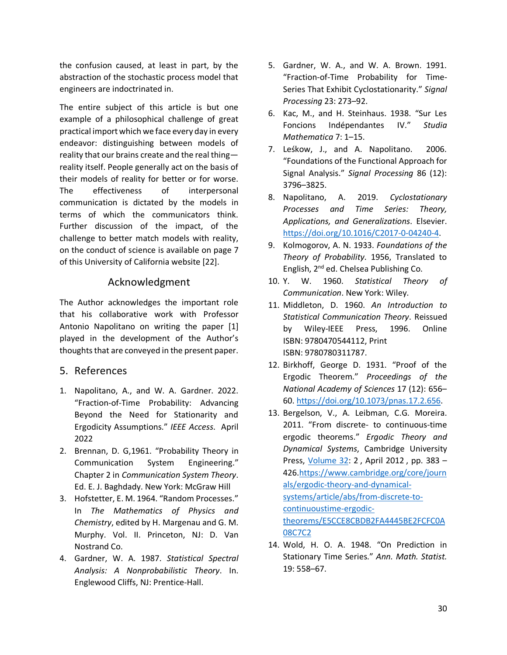the confusion caused, at least in part, by the abstraction of the stochastic process model that engineers are indoctrinated in.

The entire subject of this article is but one example of a philosophical challenge of great practical import which we face every day in every endeavor: distinguishing between models of reality that our brains create and the real thing reality itself. People generally act on the basis of their models of reality for better or for worse. The effectiveness of interpersonal communication is dictated by the models in terms of which the communicators think. Further discussion of the impact, of the challenge to better match models with reality, on the conduct of science is available on page 7 of this University of California website [22].

## Acknowledgment

The Author acknowledges the important role that his collaborative work with Professor Antonio Napolitano on writing the paper [1] played in the development of the Author's thoughts that are conveyed in the present paper.

5. References

- 1. Napolitano, A., and W. A. Gardner. 2022. "Fraction-of-Time Probability: Advancing Beyond the Need for Stationarity and Ergodicity Assumptions." *IEEE Access*. April 2022
- 2. Brennan, D. G,1961. "Probability Theory in Communication System Engineering." Chapter 2 in *Communication System Theory*. Ed. E. J. Baghdady. New York: McGraw Hill
- 3. Hofstetter, E. M. 1964. "Random Processes." In *The Mathematics of Physics and Chemistry*, edited by H. Margenau and G. M. Murphy. Vol. II. Princeton, NJ: D. Van Nostrand Co.
- 4. Gardner, W. A. 1987. *Statistical Spectral Analysis: A Nonprobabilistic Theory*. In. Englewood Cliffs, NJ: Prentice-Hall.
- 5. Gardner, W. A., and W. A. Brown. 1991. "Fraction-of-Time Probability for Time-Series That Exhibit Cyclostationarity." *Signal Processing* 23: 273–92.
- 6. Kac, M., and H. Steinhaus. 1938. "Sur Les Foncions Indépendantes IV." *Studia Mathematica* 7: 1–15.
- 7. Leśkow, J., and A. Napolitano. 2006. "Foundations of the Functional Approach for Signal Analysis." *Signal Processing* 86 (12): 3796–3825.
- 8. Napolitano, A. 2019. *Cyclostationary Processes and Time Series: Theory, Applications, and Generalizations*. Elsevier. [https://doi.org/10.1016/C2017-0-04240-4.](https://doi.org/10.1016/C2017-0-04240-4)
- 9. Kolmogorov, A. N. 1933. *Foundations of the Theory of Probability*. 1956, Translated to English, 2<sup>nd</sup> ed. Chelsea Publishing Co.
- 10. Y. W. 1960. *Statistical Theory of Communication*. New York: Wiley.
- 11. Middleton, D. 1960. *An Introduction to Statistical Communication Theory*. Reissued by Wiley-IEEE Press, 1996. Online ISBN: 9780470544112, Print ISBN: 9780780311787.
- 12. Birkhoff, George D. 1931. "Proof of the Ergodic Theorem." *Proceedings of the National Academy of Sciences* 17 (12): 656– 60. [https://doi.org/10.1073/pnas.17.2.656.](https://doi.org/10.1073/pnas.17.2.656)
- 13. Bergelson, V., A. Leibman, C.G. Moreira. 2011. "From discrete- to continuous-time ergodic theorems." *Ergodic Theory and Dynamical Systems*, Cambridge University Press, [Volume 32:](https://www.cambridge.org/core/journals/ergodic-theory-and-dynamical-systems/volume/2F617140407A058552E302CA3EBD4C6D) 2, April 2012, pp. 383 -426[.https://www.cambridge.org/core/journ](https://www.cambridge.org/core/journals/ergodic-theory-and-dynamical-systems/article/abs/from-discrete-to-continuoustime-ergodic-theorems/E5CCE8CBDB2FA4445BE2FCFC0A08C7C2) [als/ergodic-theory-and-dynamical](https://www.cambridge.org/core/journals/ergodic-theory-and-dynamical-systems/article/abs/from-discrete-to-continuoustime-ergodic-theorems/E5CCE8CBDB2FA4445BE2FCFC0A08C7C2)[systems/article/abs/from-discrete-to](https://www.cambridge.org/core/journals/ergodic-theory-and-dynamical-systems/article/abs/from-discrete-to-continuoustime-ergodic-theorems/E5CCE8CBDB2FA4445BE2FCFC0A08C7C2)[continuoustime-ergodic](https://www.cambridge.org/core/journals/ergodic-theory-and-dynamical-systems/article/abs/from-discrete-to-continuoustime-ergodic-theorems/E5CCE8CBDB2FA4445BE2FCFC0A08C7C2)[theorems/E5CCE8CBDB2FA4445BE2FCFC0A](https://www.cambridge.org/core/journals/ergodic-theory-and-dynamical-systems/article/abs/from-discrete-to-continuoustime-ergodic-theorems/E5CCE8CBDB2FA4445BE2FCFC0A08C7C2) [08C7C2](https://www.cambridge.org/core/journals/ergodic-theory-and-dynamical-systems/article/abs/from-discrete-to-continuoustime-ergodic-theorems/E5CCE8CBDB2FA4445BE2FCFC0A08C7C2)
- 14. Wold, H. O. A. 1948. "On Prediction in Stationary Time Series." *Ann. Math. Statist.* 19: 558–67.